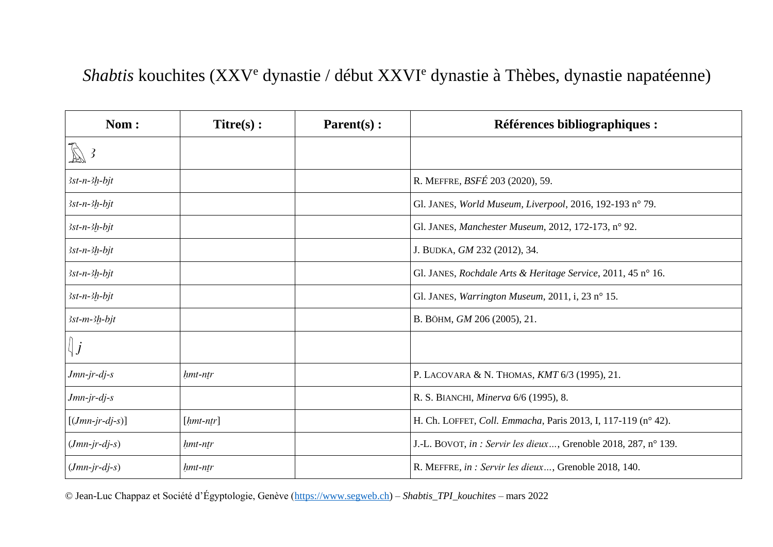## *Shabtis* kouchites (XXV<sup>e</sup> dynastie / début XXVI<sup>e</sup> dynastie à Thèbes, dynastie napatéenne)

| Nom:                   | $Titre(s)$ : | $\textbf{Parent}(s)$ : | <b>Références bibliographiques :</b>                            |
|------------------------|--------------|------------------------|-----------------------------------------------------------------|
| $\mathbb{Z}$ 3         |              |                        |                                                                 |
| $3st-n-3h-bjt$         |              |                        | R. MEFFRE, BSFÉ 203 (2020), 59.                                 |
| $3st-n-3h-bjt$         |              |                        | Gl. JANES, World Museum, Liverpool, 2016, 192-193 n° 79.        |
| $3st-n-3h-bit$         |              |                        | Gl. JANES, Manchester Museum, 2012, 172-173, nº 92.             |
| $3st-n-3h-bjt$         |              |                        | J. BUDKA, GM 232 (2012), 34.                                    |
| $3st-n-3h-bjt$         |              |                        | Gl. JANES, Rochdale Arts & Heritage Service, 2011, 45 n° 16.    |
| $3st-n-3h-bjt$         |              |                        | Gl. JANES, Warrington Museum, 2011, i, 23 n° 15.                |
| $3st-m-3h-bjt$         |              |                        | В. ВОНМ, <i>GM</i> 206 (2005), 21.                              |
| $ \n\big\downarrow j $ |              |                        |                                                                 |
| $Jmn-jr-dj-s$          | hmt-ntr      |                        | P. LACOVARA & N. THOMAS, KMT 6/3 (1995), 21.                    |
| $Jmn-jr-dj-s$          |              |                        | R. S. BIANCHI, Minerva 6/6 (1995), 8.                           |
| $[(Jmn-jr-dj-s)]$      | $[hmt-ntr]$  |                        | H. Ch. LOFFET, Coll. Emmacha, Paris 2013, I, 117-119 (n° 42).   |
| $(Jmn-jr-dj-s)$        | hmt-ntr      |                        | J.-L. BOVOT, in : Servir les dieux, Grenoble 2018, 287, n° 139. |
| $(Jmn-jr-dj-s)$        | hmt-ntr      |                        | R. MEFFRE, in : Servir les dieux, Grenoble 2018, 140.           |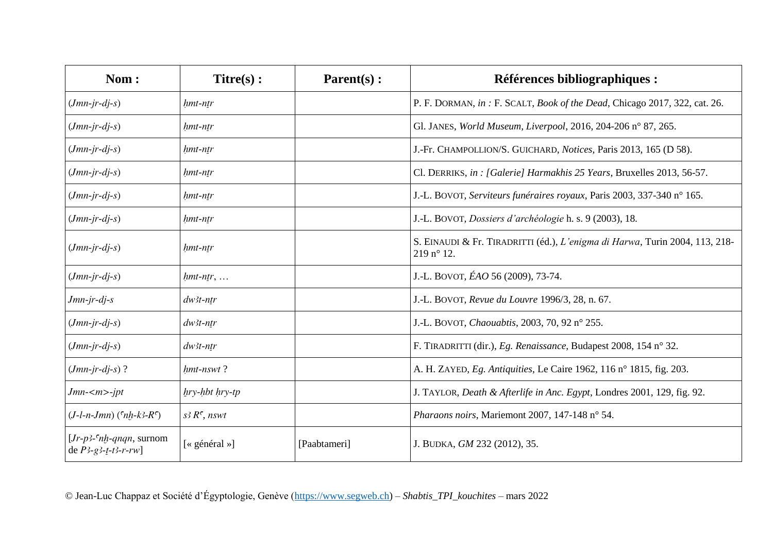| Nom:                                                 | $Titre(s)$ :                  | $\textbf{Parent}(s)$ : | Références bibliographiques :                                                                      |
|------------------------------------------------------|-------------------------------|------------------------|----------------------------------------------------------------------------------------------------|
| $(Jmn-jr-dj-s)$                                      | hmt-ntr                       |                        | P. F. DORMAN, in: F. SCALT, Book of the Dead, Chicago 2017, 322, cat. 26.                          |
| $(Jmn-jr-dj-s)$                                      | hmt-ntr                       |                        | Gl. JANES, World Museum, Liverpool, 2016, 204-206 n° 87, 265.                                      |
| $(Jmn-jr-dj-s)$                                      | hmt-ntr                       |                        | J.-Fr. CHAMPOLLION/S. GUICHARD, Notices, Paris 2013, 165 (D 58).                                   |
| $(Jmn-jr-dj-s)$                                      | hmt-ntr                       |                        | Cl. DERRIKS, in : [Galerie] Harmakhis 25 Years, Bruxelles 2013, 56-57.                             |
| $(Jmn-jr-dj-s)$                                      | hmt-ntr                       |                        | J.-L. BOVOT, Serviteurs funéraires royaux, Paris 2003, 337-340 n° 165.                             |
| $(Jmn-jr-dj-s)$                                      | hmt-ntr                       |                        | J.-L. BOVOT, Dossiers d'archéologie h. s. 9 (2003), 18.                                            |
| $(Jmn-jr-dj-s)$                                      | hmt-ntr                       |                        | S. EINAUDI & Fr. TIRADRITTI (éd.), L'enigma di Harwa, Turin 2004, 113, 218-<br>$219 n^{\circ} 12.$ |
| $(Jmn-ir-dj-s)$                                      | $h$ mt-ntr,                   |                        | J.-L. BOVOT, ÉAO 56 (2009), 73-74.                                                                 |
| Jmn-jr-dj-s                                          | $dw$ 3t-ntr                   |                        | J.-L. BOVOT, Revue du Louvre 1996/3, 28, n. 67.                                                    |
| $(Jmn-jr-dj-s)$                                      | $dw$ 3t-ntr                   |                        | J.-L. BOVOT, Chaouabtis, 2003, 70, 92 n° 255.                                                      |
| $(Jmn-jr-dj-s)$                                      | $dw$ 3t-ntr                   |                        | F. TIRADRITTI (dir.), Eg. Renaissance, Budapest 2008, 154 n° 32.                                   |
| $(Jmn-jr-dj-s)$ ?                                    | hmt-nswt?                     |                        | A. H. ZAYED, Eg. Antiquities, Le Caire 1962, 116 n° 1815, fig. 203.                                |
| Jmn- <m>-jpt</m>                                     | hry-hbt hry-tp                |                        | J. TAYLOR, Death & Afterlife in Anc. Egypt, Londres 2001, 129, fig. 92.                            |
| $(J-l-n-Jmn)$ ( $n h-k3-R$ )                         | $s$ <sub>3</sub> $R^c$ , nswt |                        | Pharaons noirs, Mariemont 2007, 147-148 n° 54.                                                     |
| $[Jr-p3-cnh-qnqn, surnom]$<br>de $P$ 3-g3-t-t3-r-rw] | [« général »]                 | [Paabtameri]           | J. BUDKA, GM 232 (2012), 35.                                                                       |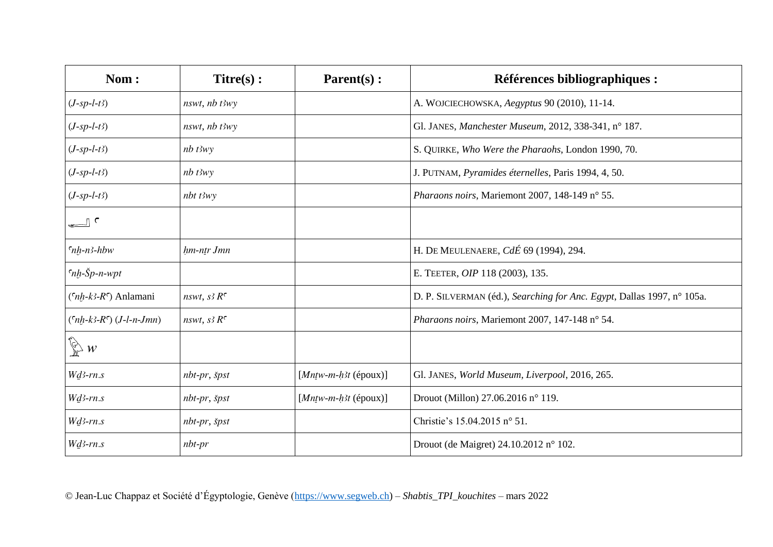| Nom:                                             | $Titre(s)$ :              | Parent(s):              | <b>Références bibliographiques :</b>                                   |
|--------------------------------------------------|---------------------------|-------------------------|------------------------------------------------------------------------|
| $(J$ -sp-l-t3)                                   | $nswt$ , $nb$ $t3wy$      |                         | A. WOJCIECHOWSKA, Aegyptus 90 (2010), 11-14.                           |
| $(J$ -sp-l-t3)                                   | $nswt$ , $nb$ $t3wy$      |                         | Gl. JANES, Manchester Museum, 2012, 338-341, n° 187.                   |
| $(J$ -sp-l-t3)                                   | $nb$ $t3wy$               |                         | S. QUIRKE, Who Were the Pharaohs, London 1990, 70.                     |
| $(J$ -sp-l-t3)                                   | $nb$ t3wy                 |                         | J. PUTNAM, Pyramides éternelles, Paris 1994, 4, 50.                    |
| $(J$ -sp-l-t3)                                   | $nbt$ t3wy                |                         | Pharaons noirs, Mariemont 2007, 148-149 n° 55.                         |
| $\overline{\phantom{a}}$                         |                           |                         |                                                                        |
| $n_h - n - h$                                    | hm-ntr Jmn                |                         | H. DE MEULENAERE, CdÉ 69 (1994), 294.                                  |
| $n_h - \text{Sp}-n$ -wpt                         |                           |                         | E. TEETER, OIP 118 (2003), 135.                                        |
| $({}^{\mathsf{c}}nh-k3-R^{\mathsf{c}})$ Anlamani | nswt, $s$ 3 $R^c$         |                         | D. P. SILVERMAN (éd.), Searching for Anc. Egypt, Dallas 1997, n° 105a. |
| $(\n6nh-k3-R6)$ ( <i>J</i> -l-n-Jmn)             | nswt, $s$ 3 $R^c$         |                         | Pharaons noirs, Mariemont 2007, 147-148 n° 54.                         |
| $\bigotimes$ w                                   |                           |                         |                                                                        |
| $Wd3-rn.s$                                       | $nbr-pr$ , $\check{s}pst$ | [ $Mntw-m-h3t$ (époux)] | Gl. JANES, World Museum, Liverpool, 2016, 265.                         |
| $W$ <i>d</i> 3-rn.s                              | $nbr-pr$ , $\check{s}pst$ | [ $Mntw-m-h3t$ (époux)] | Drouot (Millon) 27.06.2016 n° 119.                                     |
| $W$ <i>d</i> 3-rn.s                              | $nbr-pr$ , $\check{s}pst$ |                         | Christie's 15.04.2015 n° 51.                                           |
| $Wd3-rn.s$                                       | $nbt-pr$                  |                         | Drouot (de Maigret) 24.10.2012 n° 102.                                 |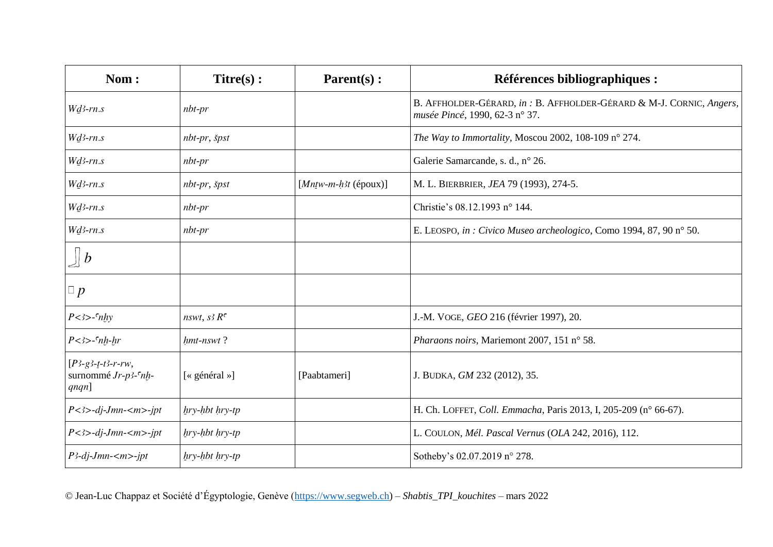| Nom:                                                   | $Titre(s)$ :              | $\textbf{Parent}(s)$ : | Références bibliographiques :                                                                         |
|--------------------------------------------------------|---------------------------|------------------------|-------------------------------------------------------------------------------------------------------|
| $Wd3-rn.s$                                             | $nbt-pr$                  |                        | B. AFFHOLDER-GÉRARD, in: B. AFFHOLDER-GÉRARD & M-J. CORNIC, Angers,<br>musée Pincé, 1990, 62-3 n° 37. |
| $W$ <i>d</i> 3- $rn.s$                                 | $nbr-pr$ , špst           |                        | The Way to Immortality, Moscou 2002, 108-109 n° 274.                                                  |
| $Wd3-rn.s$                                             | $nbt-pr$                  |                        | Galerie Samarcande, s. d., n° 26.                                                                     |
| $Wd3-rn.s$                                             | $nbr-pr$ , $\check{s}pst$ | $[Matw-m-h3t (époux)]$ | M. L. BIERBRIER, JEA 79 (1993), 274-5.                                                                |
| $W$ <i>d</i> 3- $rn.s$                                 | $nbt-pr$                  |                        | Christie's 08.12.1993 n° 144.                                                                         |
| $W$ <i>d</i> 3-rn.s                                    | $nbt-pr$                  |                        | E. LEOSPO, in : Civico Museo archeologico, Como 1994, 87, 90 nº 50.                                   |
| $\mathop{\perp}\nolimits b$                            |                           |                        |                                                                                                       |
| $\Box p$                                               |                           |                        |                                                                                                       |
| $P$ < 3> - $\int$ nhy                                  | nswt, $s^3 R^c$           |                        | J.-M. VOGE, GEO 216 (février 1997), 20.                                                               |
| $P$ <3>- $\int$ nh-hr                                  | hmt-nswt?                 |                        | Pharaons noirs, Mariemont 2007, 151 n° 58.                                                            |
| $[P3-g3-t-t3-r-rw,$<br>surnommé Jr-p3-cnh-<br>$qnqn$ ] | [« général »]             | [Paabtameri]           | J. BUDKA, GM 232 (2012), 35.                                                                          |
| $P$ <3>-dj-Jmn- <m>-jpt</m>                            | hry-hbt hry-tp            |                        | H. Ch. LOFFET, Coll. Emmacha, Paris 2013, I, 205-209 (n° 66-67).                                      |
| $P$ <3>-dj-Jmn- <m>-jpt</m>                            | $hry$ -hbt $hry$ -tp      |                        | L. COULON, Mél. Pascal Vernus (OLA 242, 2016), 112.                                                   |
| $P$ 3-dj-Jmn- $\langle m \rangle$ -jpt                 | $hry-hbt hry-tp$          |                        | Sotheby's 02.07.2019 n° 278.                                                                          |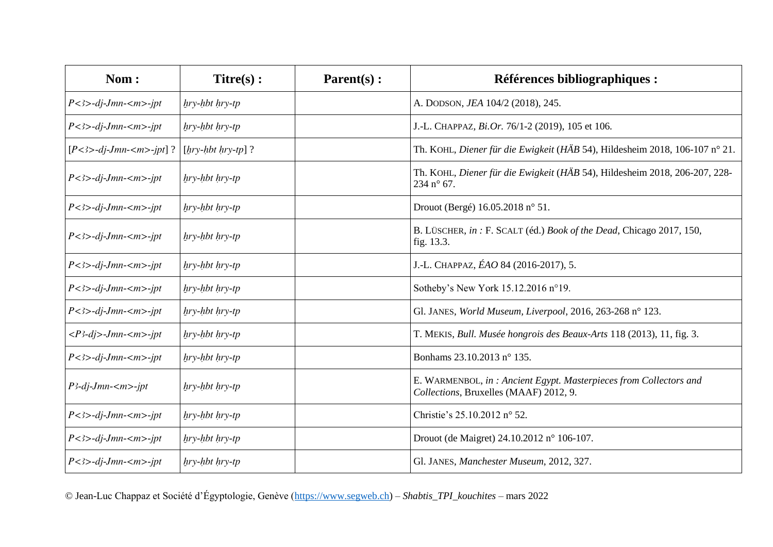| Nom:                                                  | $Titre(s)$ :         | $\textbf{Parent}(s)$ : | <b>Références bibliographiques :</b>                                                                        |
|-------------------------------------------------------|----------------------|------------------------|-------------------------------------------------------------------------------------------------------------|
| $P$ <3>-dj-Jmn- <m>-jpt</m>                           | $hry-hbt hry-tp$     |                        | A. DODSON, JEA 104/2 (2018), 245.                                                                           |
| $P$ < 3 > -dj - Jmn - < m > -ipt                      | $hry-hbt hry-tp$     |                        | J.-L. CHAPPAZ, Bi.Or. 76/1-2 (2019), 105 et 106.                                                            |
| $[P<3>-dj-Jmn-1-jpt]$ ?                               | $[hry-hbt hry-tp]$ ? |                        | Th. KOHL, Diener für die Ewigkeit (HÄB 54), Hildesheim 2018, 106-107 n° 21.                                 |
| $P$ <3>-dj-Jmn- <m>-jpt</m>                           | $hry-hbt hry-tp$     |                        | Th. KOHL, Diener für die Ewigkeit (HÄB 54), Hildesheim 2018, 206-207, 228-<br>234 n° 67.                    |
| $P$ <3>-dj-Jmn- <m>-ipt</m>                           | $hry-hbt hry-tp$     |                        | Drouot (Bergé) 16.05.2018 n° 51.                                                                            |
| $P$ <3>-dj-Jmn- <m>-jpt</m>                           | $hry-hbt hry-tp$     |                        | B. LÜSCHER, in : F. SCALT (éd.) Book of the Dead, Chicago 2017, 150,<br>fig. 13.3.                          |
| $P$ < 3 > -dj - Jmn - < m > -ipt                      | $hry-hbt hry-tp$     |                        | J.-L. CHAPPAZ, ÉAO 84 (2016-2017), 5.                                                                       |
| $P$ <3>-dj-Jmn- <m>-ipt</m>                           | $hry-hbt hry-tp$     |                        | Sotheby's New York 15.12.2016 n°19.                                                                         |
| $P$ < 3 > -dj - Jmn - < m > -ipt                      | $hry-hbt hry-tp$     |                        | Gl. JANES, World Museum, Liverpool, 2016, 263-268 n° 123.                                                   |
| $\langle P^3-dj\rangle$ -Jmn- $\langle m\rangle$ -jpt | $hry-hbt hry-tp$     |                        | T. MEKIS, Bull. Musée hongrois des Beaux-Arts 118 (2013), 11, fig. 3.                                       |
| $P$ <3>-dj-Jmn- <m>-jpt</m>                           | $hry-hbt hry-tp$     |                        | Bonhams 23.10.2013 n° 135.                                                                                  |
| $P$ 3-dj-Jmn- $\langle m \rangle$ -jpt                | $hry-hbt hry-tp$     |                        | E. WARMENBOL, in: Ancient Egypt. Masterpieces from Collectors and<br>Collections, Bruxelles (MAAF) 2012, 9. |
| $P$ <3>-dj-Jmn- <m>-jpt</m>                           | hry-hbt hry-tp       |                        | Christie's 25.10.2012 n° 52.                                                                                |
| $P$ <3>-dj-Jmn- <m>-jpt</m>                           | $hry$ -hbt $hry$ -tp |                        | Drouot (de Maigret) 24.10.2012 n° 106-107.                                                                  |
| $P$ <3>-dj-Jmn- <m>-ipt</m>                           | $hry-hbt hry-tp$     |                        | Gl. JANES, Manchester Museum, 2012, 327.                                                                    |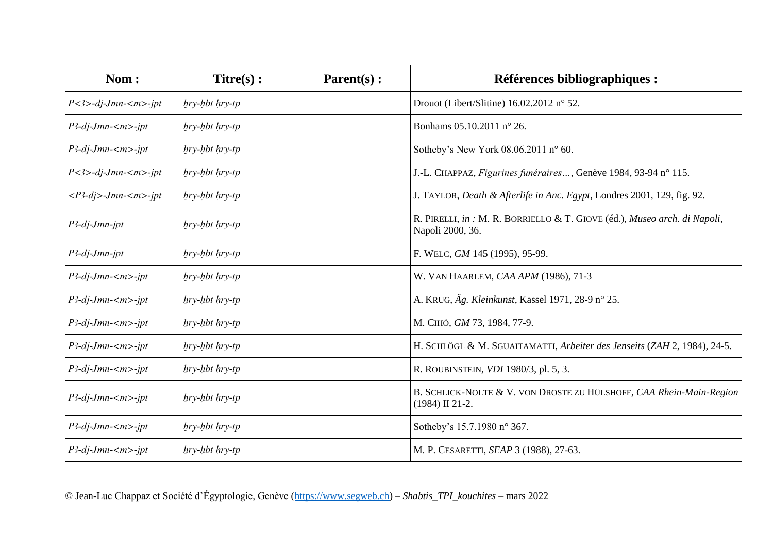| Nom:                                                  | $Titre(s)$ :     | $\textbf{Parent}(s)$ : | <b>Références bibliographiques :</b>                                                          |
|-------------------------------------------------------|------------------|------------------------|-----------------------------------------------------------------------------------------------|
| $P$ <3>-dj-Jmn- <m>-jpt</m>                           | $hry-hbt hry-tp$ |                        | Drouot (Libert/Slitine) 16.02.2012 n° 52.                                                     |
| $P$ 3-dj-Jmn- $\langle m \rangle$ -jpt                | $hry-hbt hry-tp$ |                        | Bonhams 05.10.2011 n° 26.                                                                     |
| $P$ 3-dj-Jmn- $\langle m \rangle$ -jpt                | $hry-hbt hry-tp$ |                        | Sotheby's New York 08.06.2011 n° 60.                                                          |
| $P$ <3>-dj-Jmn- <m>-ipt</m>                           | $hry-hbt hry-tp$ |                        | J.-L. CHAPPAZ, Figurines funéraires, Genève 1984, 93-94 n° 115.                               |
| $\langle P^3-dj\rangle$ -Jmn- $\langle m\rangle$ -jpt | $hry-hbt hry-tp$ |                        | J. TAYLOR, Death & Afterlife in Anc. Egypt, Londres 2001, 129, fig. 92.                       |
| $P$ 3-dj-Jmn-jpt                                      | $hry-hbt hry-tp$ |                        | R. PIRELLI, in : M. R. BORRIELLO & T. GIOVE (éd.), Museo arch. di Napoli,<br>Napoli 2000, 36. |
| $P$ 3-dj-Jmn-jpt                                      | $hry-hbt hry-tp$ |                        | F. WELC, GM 145 (1995), 95-99.                                                                |
| $P$ 3-dj-Jmn- $\langle m \rangle$ -jpt                | hry-hbt hry-tp   |                        | W. VAN HAARLEM, CAA APM (1986), 71-3                                                          |
| P3-dj-Jmn- <m>-jpt</m>                                | $hry-hbt hry-tp$ |                        | A. KRUG, Äg. Kleinkunst, Kassel 1971, 28-9 n° 25.                                             |
| P3-dj-Jmn- <m>-jpt</m>                                | $hry-hbt hry-tp$ |                        | М. СІНО, <i>GM</i> 73, 1984, 77-9.                                                            |
| $P$ 3-dj-Jmn- $\langle m \rangle$ -jpt                | $hry-hbt hry-tp$ |                        | H. SCHLÖGL & M. SGUAITAMATTI, Arbeiter des Jenseits (ZAH 2, 1984), 24-5.                      |
| $P$ 3-dj-Jmn- $\langle m \rangle$ -jpt                | $hry-hbt hry-tp$ |                        | R. ROUBINSTEIN, <i>VDI</i> 1980/3, pl. 5, 3.                                                  |
| $P$ 3-dj-Jmn- $\langle m \rangle$ -jpt                | $hry-hbt hry-tp$ |                        | B. SCHLICK-NOLTE & V. VON DROSTE ZU HÜLSHOFF, CAA Rhein-Main-Region<br>$(1984)$ II 21-2.      |
| $P$ 3-dj-Jmn- $\langle m \rangle$ -jpt                | $hry-hbt hry-tp$ |                        | Sotheby's 15.7.1980 n° 367.                                                                   |
| $P$ 3-dj-Jmn- $\langle m \rangle$ -jpt                | hry-hbt hry-tp   |                        | M. P. CESARETTI, SEAP 3 (1988), 27-63.                                                        |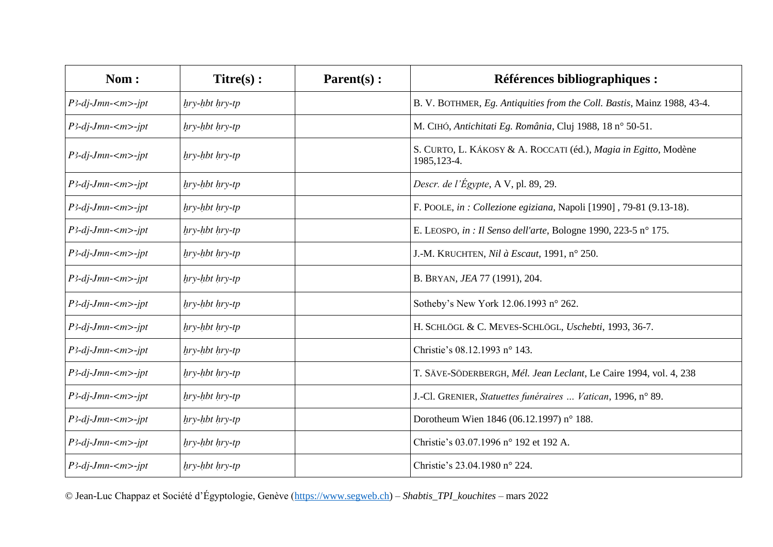| Nom:                                   | $Titre(s)$ :         | $\textbf{Parent}(s)$ : | <b>Références bibliographiques :</b>                                            |
|----------------------------------------|----------------------|------------------------|---------------------------------------------------------------------------------|
| $P$ 3-dj-Jmn-< $m$ >-jpt               | $hry$ -hbt $hry$ -tp |                        | B. V. BOTHMER, Eg. Antiquities from the Coll. Bastis, Mainz 1988, 43-4.         |
| $P$ 3-dj-Jmn- $\langle m \rangle$ -jpt | hry-hbt hry-tp       |                        | M. CIHÓ, Antichitati Eg. România, Cluj 1988, 18 nº 50-51.                       |
| $P$ 3-dj-Jmn- $\langle m \rangle$ -jpt | hry-hbt hry-tp       |                        | S. CURTO, L. KÁKOSY & A. ROCCATI (éd.), Magia in Egitto, Modène<br>1985, 123-4. |
| $P3-dj-Jmn-m>-jpt$                     | hry-hbt hry-tp       |                        | Descr. de l'Égypte, A V, pl. 89, 29.                                            |
| $P$ 3-dj-Jmn- $\langle m \rangle$ -jpt | $hry-hbt hry-tp$     |                        | F. POOLE, in : Collezione egiziana, Napoli [1990], 79-81 (9.13-18).             |
| $P$ 3-dj-Jmn- <m>-jpt</m>              | $hry-hbt hry-tp$     |                        | E. LEOSPO, in : Il Senso dell'arte, Bologne 1990, 223-5 n° 175.                 |
| $P$ 3-dj-Jmn- $\langle m \rangle$ -jpt | $hry-hbt hry-tp$     |                        | J.-M. KRUCHTEN, Nil à Escaut, 1991, n° 250.                                     |
| $P3-dj-Jmn-m>-jpt$                     | $hry$ -hbt $hry$ -tp |                        | B. BRYAN, JEA 77 (1991), 204.                                                   |
| $P$ 3-dj-Jmn-< $m$ >-jpt               | $hry-hbt hry-tp$     |                        | Sotheby's New York 12.06.1993 n° 262.                                           |
| $P$ 3-dj-Jmn- <m>-jpt</m>              | $hry$ -hbt $hry$ -tp |                        | H. SCHLÖGL & C. MEVES-SCHLÖGL, Uschebti, 1993, 36-7.                            |
| $P$ 3-dj-Jmn- $\langle m \rangle$ -ipt | $hry-hbt hry-tp$     |                        | Christie's 08.12.1993 n° 143.                                                   |
| $P$ 3-dj-Jmn- $\langle m \rangle$ -jpt | $hry-hbt hry-tp$     |                        | T. SÄVE-SÖDERBERGH, Mél. Jean Leclant, Le Caire 1994, vol. 4, 238               |
| $P3-dj-Jmn-m>-jpt$                     | $hry$ -hbt $hry$ -tp |                        | J.-Cl. GRENIER, Statuettes funéraires  Vatican, 1996, n° 89.                    |
| $P3-dj-Jmn-m>-jpt$                     | $hry$ -hbt $hry$ -tp |                        | Dorotheum Wien 1846 (06.12.1997) n° 188.                                        |
| $P3-dj-Jmn-m>-jpt$                     | $hry$ -hbt $hry$ -tp |                        | Christie's 03.07.1996 n° 192 et 192 A.                                          |
| $P3-dj-Jmn-m>-jpt$                     | $hry$ -hbt $hry$ -tp |                        | Christie's 23.04.1980 n° 224.                                                   |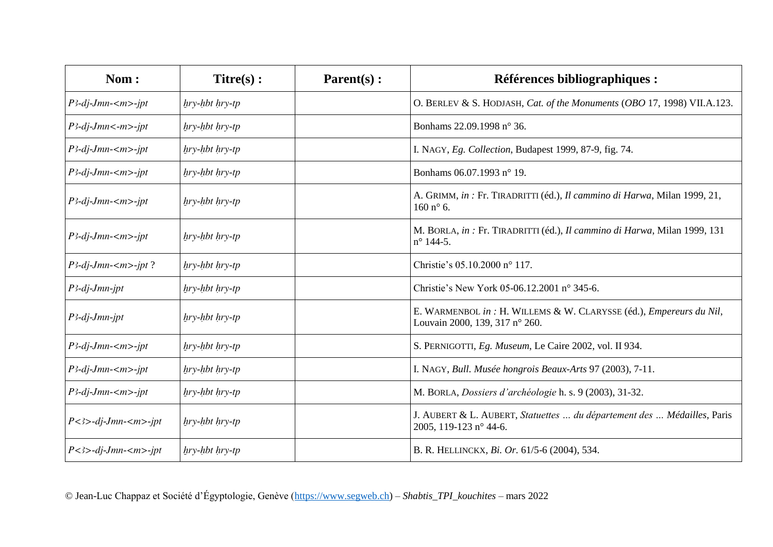| Nom:                                    | $Titre(s)$ :         | $\textbf{Parent}(s)$ : | Références bibliographiques :                                                                         |
|-----------------------------------------|----------------------|------------------------|-------------------------------------------------------------------------------------------------------|
| P3-dj-Jmn- <m>-jpt</m>                  | $hry-hbt hry-tp$     |                        | O. BERLEV & S. HODJASH, Cat. of the Monuments (OBO 17, 1998) VII.A.123.                               |
| $P$ 3-dj-Jmn<-m>-jpt                    | $hry-hbt hry-tp$     |                        | Bonhams 22.09.1998 n° 36.                                                                             |
| P3-dj-Jmn- <m>-jpt</m>                  | $hry$ -hbt $hry$ -tp |                        | I. NAGY, Eg. Collection, Budapest 1999, 87-9, fig. 74.                                                |
| $P$ 3-dj-Jmn- $\langle m \rangle$ -jpt  | $hry-hbt hry-tp$     |                        | Bonhams 06.07.1993 n° 19.                                                                             |
| $P$ 3-dj-Jmn- $\langle m \rangle$ -jpt  | $hry-hbt hry-tp$     |                        | A. GRIMM, in : Fr. TIRADRITTI (éd.), Il cammino di Harwa, Milan 1999, 21,<br>$160 n^{\circ}$ 6.       |
| $P$ 3-dj-Jmn- $\langle m \rangle$ -jpt  | $hry-hbt hry-tp$     |                        | M. BORLA, in : Fr. TIRADRITTI (éd.), Il cammino di Harwa, Milan 1999, 131<br>$n^{\circ}$ 144-5.       |
| $P3$ -dj-Jmn- $\langle m \rangle$ -jpt? | $hry-hbt hry-tp$     |                        | Christie's 05.10.2000 n° 117.                                                                         |
| $P$ 3-dj-Jmn-jpt                        | $hry-hbt hry-tp$     |                        | Christie's New York 05-06.12.2001 n° 345-6.                                                           |
| $P$ 3-dj-Jmn-jpt                        | $hry-hbt hry-tp$     |                        | E. WARMENBOL in : H. WILLEMS & W. CLARYSSE (éd.), Empereurs du Nil,<br>Louvain 2000, 139, 317 n° 260. |
| $P$ 3-dj-Jmn- $\langle m \rangle$ -jpt  | $hry-hbt hry-tp$     |                        | S. PERNIGOTTI, Eg. Museum, Le Caire 2002, vol. II 934.                                                |
| $P$ 3-dj-Jmn- $\langle m \rangle$ -jpt  | $hry-hbt hry-tp$     |                        | I. NAGY, Bull. Musée hongrois Beaux-Arts 97 (2003), 7-11.                                             |
| $P$ 3-dj-Jmn- $\langle m \rangle$ -jpt  | $hry-hbt hry-tp$     |                        | M. BORLA, Dossiers d'archéologie h. s. 9 (2003), 31-32.                                               |
| $P$ <3>-dj-Jmn- <m>-jpt</m>             | $hry-hbt hry-tp$     |                        | J. AUBERT & L. AUBERT, Statuettes  du département des  Médailles, Paris<br>2005, 119-123 n° 44-6.     |
| $P$ <3>-dj-Jmn- <m>-ipt</m>             | hry-hbt hry-tp       |                        | B. R. HELLINCKX, Bi. Or. 61/5-6 (2004), 534.                                                          |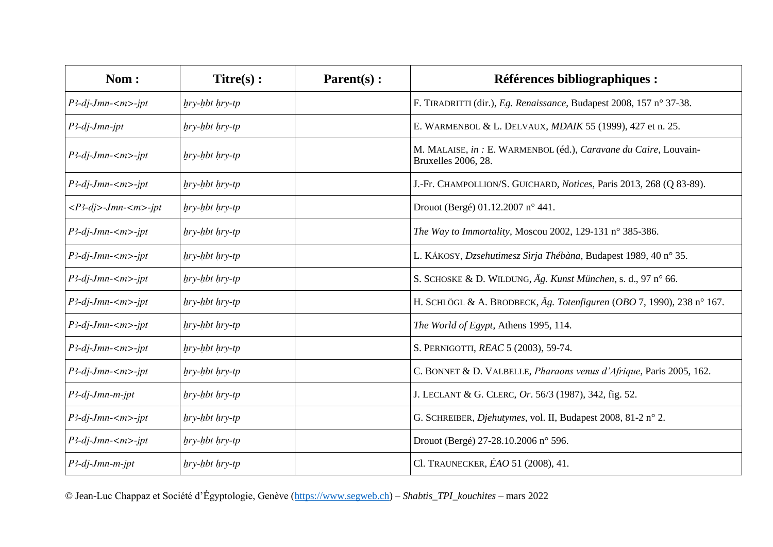| Nom:                                                  | $Titre(s)$ :         | $\textbf{Parent}(s)$ : | <b>Références bibliographiques :</b>                                                    |
|-------------------------------------------------------|----------------------|------------------------|-----------------------------------------------------------------------------------------|
| $P$ 3-dj-Jmn- $\langle m \rangle$ -jpt                | hry-hbt hry-tp       |                        | F. TIRADRITTI (dir.), Eg. Renaissance, Budapest 2008, 157 n° 37-38.                     |
| $P$ 3-dj-Jmn-jpt                                      | $hry$ -hbt $hry$ -tp |                        | E. WARMENBOL & L. DELVAUX, MDAIK 55 (1999), 427 et n. 25.                               |
| $P$ 3-dj-Jmn- $\langle m \rangle$ -jpt                | $hry-hbt hry-tp$     |                        | M. MALAISE, in : E. WARMENBOL (éd.), Caravane du Caire, Louvain-<br>Bruxelles 2006, 28. |
| $P$ 3-dj-Jmn- $\langle m \rangle$ -jpt                | $hry-hbt hry-tp$     |                        | J.-Fr. CHAMPOLLION/S. GUICHARD, Notices, Paris 2013, 268 (Q 83-89).                     |
| $\langle P^3-dj\rangle$ -Jmn- $\langle m\rangle$ -jpt | $hry-hbt hry-tp$     |                        | Drouot (Bergé) 01.12.2007 n° 441.                                                       |
| P3-dj-Jmn- <m>-jpt</m>                                | $hry-hbt hry-tp$     |                        | The Way to Immortality, Moscou 2002, 129-131 n° 385-386.                                |
| $P$ 3-dj-Jmn- $\langle m \rangle$ -jpt                | $hry$ -hbt $hry$ -tp |                        | L. KÁKOSY, Dzsehutimesz Sìrja Thébàna, Budapest 1989, 40 n° 35.                         |
| $P$ 3-dj-Jmn- $\langle m \rangle$ -jpt                | $hry-hbt hry-tp$     |                        | S. SCHOSKE & D. WILDUNG, Äg. Kunst München, s. d., 97 n° 66.                            |
| $P$ 3-dj-Jmn- $\langle m \rangle$ -jpt                | $hry-hbt hry-tp$     |                        | H. SCHLÖGL & A. BRODBECK, Äg. Totenfiguren (OBO 7, 1990), 238 n° 167.                   |
| $P$ 3-dj-Jmn- $\langle m \rangle$ -jpt                | $hry-hbt hry-tp$     |                        | The World of Egypt, Athens 1995, 114.                                                   |
| $P$ 3-dj-Jmn- $\langle m \rangle$ -jpt                | $hry-hbt hry-tp$     |                        | S. PERNIGOTTI, REAC 5 (2003), 59-74.                                                    |
| $P$ 3-dj-Jmn- $\langle m \rangle$ -jpt                | $hry-hbt hry-tp$     |                        | C. BONNET & D. VALBELLE, Pharaons venus d'Afrique, Paris 2005, 162.                     |
| $P$ 3-dj-Jmn-m-jpt                                    | hry-hbt hry-tp       |                        | J. LECLANT & G. CLERC, Or. 56/3 (1987), 342, fig. 52.                                   |
| $P3-dj-Jmn-m>-jpt$                                    | $hry-hbt hry-tp$     |                        | G. SCHREIBER, Djehutymes, vol. II, Budapest 2008, 81-2 n° 2.                            |
| $P$ 3-dj-Jmn-< $m$ >-jpt                              | $hry-hbt hry-tp$     |                        | Drouot (Bergé) 27-28.10.2006 n° 596.                                                    |
| $P$ 3-dj-Jmn-m-jpt                                    | $hry$ -hbt $hry$ -tp |                        | Cl. TRAUNECKER, ÉAO 51 (2008), 41.                                                      |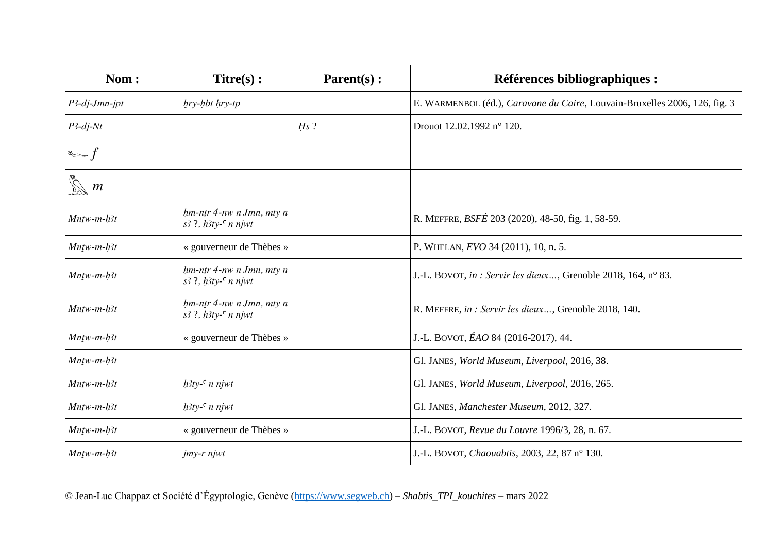| Nom:                    | $Titre(s)$ :                                                   | Parent(s): | Références bibliographiques :                                              |
|-------------------------|----------------------------------------------------------------|------------|----------------------------------------------------------------------------|
| $P$ 3-dj-Jmn-jpt        | $hry$ -hbt $hry$ -tp                                           |            | E. WARMENBOL (éd.), Caravane du Caire, Louvain-Bruxelles 2006, 126, fig. 3 |
| $P$ 3-dj-Nt             |                                                                | $Hs$ ?     | Drouot 12.02.1992 n° 120.                                                  |
| $\sum f$                |                                                                |            |                                                                            |
| $\sum_{n=0}^{\infty} m$ |                                                                |            |                                                                            |
| $Mn$ tw-m- $h$ 3t       | $hm$ -ntr 4-nw n Jmn, mty n<br>$s^3$ ?, $h^3$ ty- $\in$ n njwt |            | R. MEFFRE, <i>BSFÉ</i> 203 (2020), 48-50, fig. 1, 58-59.                   |
| $Mntw-m-h3t$            | « gouverneur de Thèbes »                                       |            | P. WHELAN, EVO 34 (2011), 10, n. 5.                                        |
| $Mntw-m-h3t$            | $hm$ -ntr 4-nw n Jmn, mty n<br>$s^3$ ?, $h^3$ ty- $\in$ n njwt |            | J.-L. BOVOT, in : Servir les dieux, Grenoble 2018, 164, n° 83.             |
| $Mn$ tw-m- $h$ 3t       | $hm$ -ntr 4-nw n Jmn, mty n<br>$s^3$ ?, $h^3$ ty- $\in$ n njwt |            | R. MEFFRE, in : Servir les dieux, Grenoble 2018, 140.                      |
| $Mntw-m-h3t$            | « gouverneur de Thèbes »                                       |            | J.-L. BOVOT, ÉAO 84 (2016-2017), 44.                                       |
| $Mntw-m-h3t$            |                                                                |            | Gl. JANES, World Museum, Liverpool, 2016, 38.                              |
| $Mn$ tw- $m$ -h3t       | $h3ty - c$ n njwt                                              |            | Gl. JANES, World Museum, Liverpool, 2016, 265.                             |
| $Mntw-m-h3t$            | $h3ty$ <sup>-<math>\epsilon</math></sup> n njwt                |            | Gl. JANES, Manchester Museum, 2012, 327.                                   |
| $Mntw-m-h3t$            | « gouverneur de Thèbes »                                       |            | J.-L. BOVOT, Revue du Louvre 1996/3, 28, n. 67.                            |
| $Mntw-m-h3t$            | $j$ <i>my-r njwt</i>                                           |            | J.-L. BOVOT, Chaouabtis, 2003, 22, 87 n° 130.                              |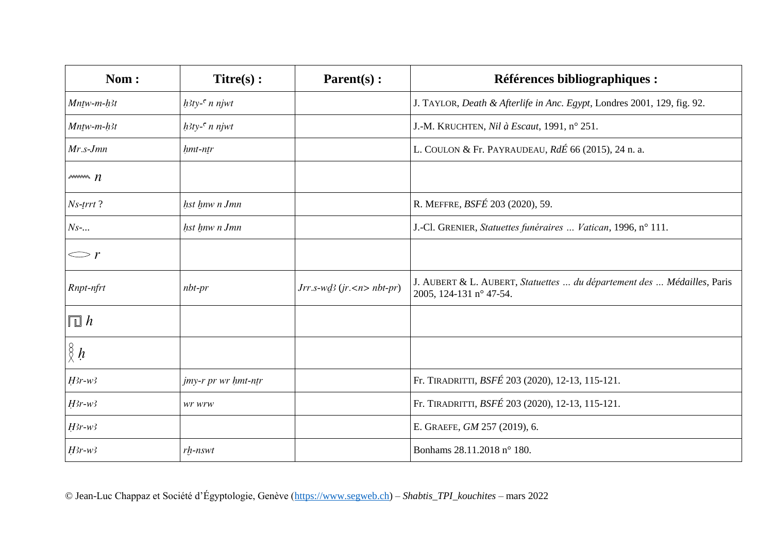| Nom:                        | $Titre(s)$ :        | $\textbf{Parent}(s)$ :                | Références bibliographiques :                                                                      |
|-----------------------------|---------------------|---------------------------------------|----------------------------------------------------------------------------------------------------|
| $Mn$ tw-m- $h$ 3t           | $h3ty - n$ n njwt   |                                       | J. TAYLOR, Death & Afterlife in Anc. Egypt, Londres 2001, 129, fig. 92.                            |
| $Mn$ tw-m- $h$ 3t           | $h3ty - c$ n njwt   |                                       | J.-M. KRUCHTEN, Nil à Escaut, 1991, nº 251.                                                        |
| $Mr.s-Jmn$                  | $h$ mt-ntr          |                                       | L. COULON & Fr. PAYRAUDEAU, $Rd\acute{E}$ 66 (2015), 24 n. a.                                      |
| $\sim$ $n$                  |                     |                                       |                                                                                                    |
| $Ns$ -trrt?                 | hst hnw n Jmn       |                                       | R. MEFFRE, BSFÉ 203 (2020), 59.                                                                    |
| $Ns$ -                      | hst hnw n Jmn       |                                       | J.-Cl. GRENIER, Statuettes funéraires  Vatican, 1996, nº 111.                                      |
| $\mathbb{C}^r$              |                     |                                       |                                                                                                    |
| Rnpt-nfrt                   | $nbt-pr$            | $Jrr.s$ -w $d$ 3 (jr. <n> nbt-pr)</n> | J. AUBERT & L. AUBERT, Statuettes  du département des  Médailles, Paris<br>2005, 124-131 n° 47-54. |
| $\overline{\mathbb{L}}$ $h$ |                     |                                       |                                                                                                    |
| $\frac{8}{8}h$              |                     |                                       |                                                                                                    |
| $H3r-w3$                    | jmy-r pr wr hmt-ntr |                                       | Fr. TIRADRITTI, BSFÉ 203 (2020), 12-13, 115-121.                                                   |
| $H3r-w3$                    | wr wrw              |                                       | Fr. TIRADRITTI, BSFÉ 203 (2020), 12-13, 115-121.                                                   |
| $H3r-w3$                    |                     |                                       | E. GRAEFE, GM 257 (2019), 6.                                                                       |
| $H3r-w3$                    | $rh$ - $nswt$       |                                       | Bonhams 28.11.2018 n° 180.                                                                         |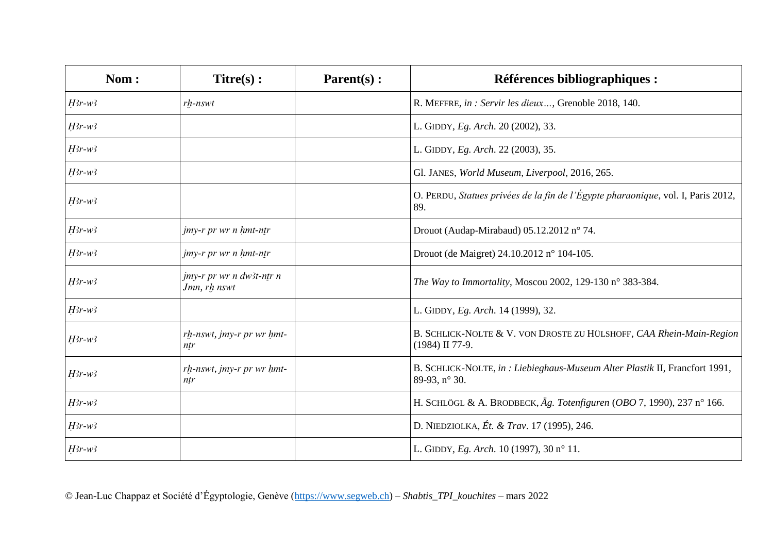| Nom:     | $Titre(s)$ :                             | Parent(s): | Références bibliographiques :                                                                |
|----------|------------------------------------------|------------|----------------------------------------------------------------------------------------------|
| $H3r-w3$ | $rh$ - $nswt$                            |            | R. MEFFRE, in : Servir les dieux, Grenoble 2018, 140.                                        |
| $H3r-w3$ |                                          |            | L. GIDDY, Eg. Arch. 20 (2002), 33.                                                           |
| $H3r-w3$ |                                          |            | L. GIDDY, Eg. Arch. 22 (2003), 35.                                                           |
| $H3r-w3$ |                                          |            | Gl. JANES, World Museum, Liverpool, 2016, 265.                                               |
| $H3r-w3$ |                                          |            | O. PERDU, Statues privées de la fin de l'Égypte pharaonique, vol. I, Paris 2012,<br>89.      |
| $H3r-w3$ | jmy-r pr wr n hmt-ntr                    |            | Drouot (Audap-Mirabaud) 05.12.2012 n° 74.                                                    |
| $H3r-w3$ | jmy-r pr wr n hmt-ntr                    |            | Drouot (de Maigret) 24.10.2012 n° 104-105.                                                   |
| $H3r-w3$ | jmy-r pr wr n dw3t-ntr n<br>Jmn, rh nswt |            | The Way to Immortality, Moscou 2002, 129-130 n° 383-384.                                     |
| $H3r-w3$ |                                          |            | L. GIDDY, Eg. Arch. 14 (1999), 32.                                                           |
| $H3r-w3$ | $rh$ -nswt, jmy-r pr wr $h$ mt-<br>ntr   |            | B. SCHLICK-NOLTE & V. VON DROSTE ZU HÜLSHOFF, CAA Rhein-Main-Region<br>(1984) II 77-9.       |
| $H3r-w3$ | rh-nswt, jmy-r pr wr hmt-<br>ntr         |            | B. SCHLICK-NOLTE, in : Liebieghaus-Museum Alter Plastik II, Francfort 1991,<br>89-93, n° 30. |
| $H3r-w3$ |                                          |            | H. SCHLÖGL & A. BRODBECK, Äg. Totenfiguren (OBO 7, 1990), 237 n° 166.                        |
| $H3r-w3$ |                                          |            | D. NIEDZIOLKA, Ét. & Trav. 17 (1995), 246.                                                   |
| $H3r-w3$ |                                          |            | L. GIDDY, Eg. Arch. 10 (1997), 30 n° 11.                                                     |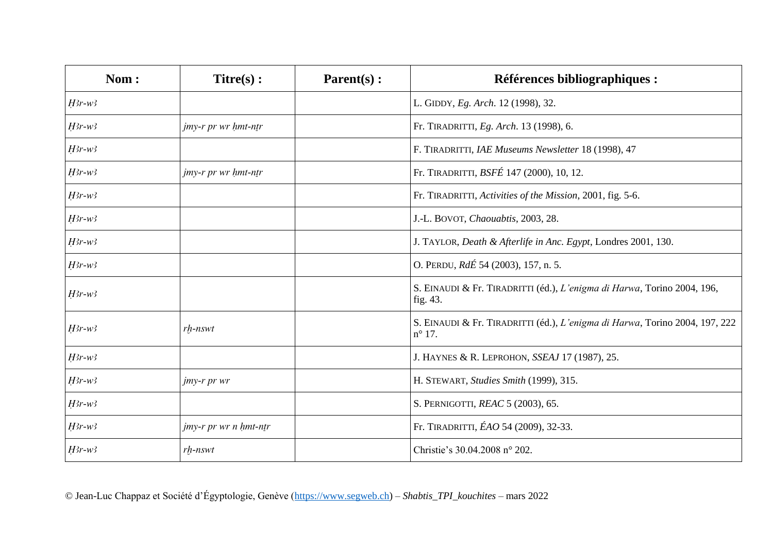| Nom:     | $Titre(s)$ :               | Parent(s): | Références bibliographiques :                                                                  |
|----------|----------------------------|------------|------------------------------------------------------------------------------------------------|
| $H3r-w3$ |                            |            | L. GIDDY, Eg. Arch. 12 (1998), 32.                                                             |
| $H3r-w3$ | jmy-r pr wr hmt-ntr        |            | Fr. TIRADRITTI, Eg. Arch. 13 (1998), 6.                                                        |
| $H3r-w3$ |                            |            | F. TIRADRITTI, IAE Museums Newsletter 18 (1998), 47                                            |
| $H3r-w3$ | <i>jmy-r pr wr hmt-ntr</i> |            | Fr. TIRADRITTI, BSFÉ 147 (2000), 10, 12.                                                       |
| $H3r-w3$ |                            |            | Fr. TIRADRITTI, Activities of the Mission, 2001, fig. 5-6.                                     |
| $H3r-w3$ |                            |            | J.-L. BOVOT, Chaouabtis, 2003, 28.                                                             |
| $H3r-w3$ |                            |            | J. TAYLOR, Death & Afterlife in Anc. Egypt, Londres 2001, 130.                                 |
| $H3r-w3$ |                            |            | O. PERDU, RdÉ 54 (2003), 157, n. 5.                                                            |
| $H3r-w3$ |                            |            | S. EINAUDI & Fr. TIRADRITTI (éd.), L'enigma di Harwa, Torino 2004, 196,<br>fig. 43.            |
| $H3r-w3$ | $rh$ - $nswt$              |            | S. EINAUDI & Fr. TIRADRITTI (éd.), L'enigma di Harwa, Torino 2004, 197, 222<br>$n^{\circ}$ 17. |
| $H3r-w3$ |                            |            | J. HAYNES & R. LEPROHON, SSEAJ 17 (1987), 25.                                                  |
| $H3r-w3$ | jmy-r pr wr                |            | H. STEWART, Studies Smith (1999), 315.                                                         |
| $H3r-w3$ |                            |            | S. PERNIGOTTI, REAC 5 (2003), 65.                                                              |
| $H3r-w3$ | jmy-r pr wr n hmt-ntr      |            | Fr. TIRADRITTI, ÉAO 54 (2009), 32-33.                                                          |
| $H3r-w3$ | $rh$ - $nswt$              |            | Christie's 30.04.2008 n° 202.                                                                  |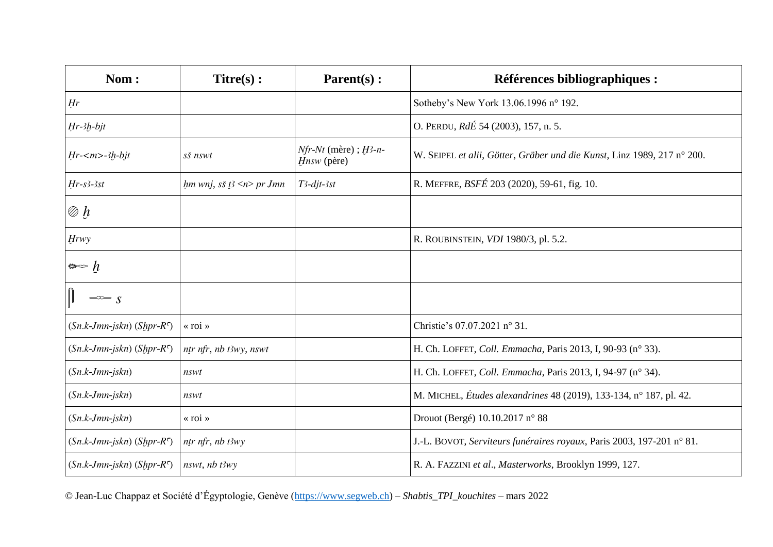| Nom:                               | Titre(s):                       | Parent(s):                                 | <b>Références bibliographiques :</b>                                    |
|------------------------------------|---------------------------------|--------------------------------------------|-------------------------------------------------------------------------|
| Hr                                 |                                 |                                            | Sotheby's New York 13.06.1996 n° 192.                                   |
| $Hr-3h-bjt$                        |                                 |                                            | O. PERDU, RdÉ 54 (2003), 157, n. 5.                                     |
| $Hr$ - $\langle m \rangle$ -3h-bjt | sš nswt                         | $Nfr-Nt$ (mère); $H3-n-$<br>$H$ nsw (père) | W. SEIPEL et alii, Götter, Gräber und die Kunst, Linz 1989, 217 n° 200. |
| $Hr$ -s3-3st                       | $hm$ wnj, sš t $\leq$ t> pr Jmn | $T3$ -djt-3st                              | R. MEFFRE, BSFÉ 203 (2020), 59-61, fig. 10.                             |
| $\oslash$ h                        |                                 |                                            |                                                                         |
| <b>Hrwy</b>                        |                                 |                                            | R. ROUBINSTEIN, VDI 1980/3, pl. 5.2.                                    |
| $\Leftrightarrow h$                |                                 |                                            |                                                                         |
| $\Rightarrow$ s                    |                                 |                                            |                                                                         |
| $(Sn.k-Jmn-jskn) (Sppr-Rc)$        | $\langle$ roi »                 |                                            | Christie's 07.07.2021 n° 31.                                            |
| $(Sn.k-Jmn-jskn) (Shpr-Ro)$        | ntr nfr, nb t3wy, nswt          |                                            | H. Ch. LOFFET, Coll. Emmacha, Paris 2013, I, 90-93 (n° 33).             |
| $(Sn.k-Jmn-jskn)$                  | nswt                            |                                            | H. Ch. LOFFET, Coll. Emmacha, Paris 2013, I, 94-97 (n° 34).             |
| $(Sn.k-Jmn-jskn)$                  | nswt                            |                                            | M. MICHEL, Études alexandrines 48 (2019), 133-134, n° 187, pl. 42.      |
| $(Sn.k-Jmn-jskn)$                  | « roi »                         |                                            | Drouot (Bergé) 10.10.2017 n° 88                                         |
| $(Sn.k-Jmn-jskn) (Shpr-Ro)$        | ntr nfr, nb t3wy                |                                            | J.-L. BOVOT, Serviteurs funéraires royaux, Paris 2003, 197-201 n° 81.   |
| $(Sn.k-Jmn-jskn) (Sppr-Ro)$        | $nswt, nb\, t3wy$               |                                            | R. A. FAZZINI et al., Masterworks, Brooklyn 1999, 127.                  |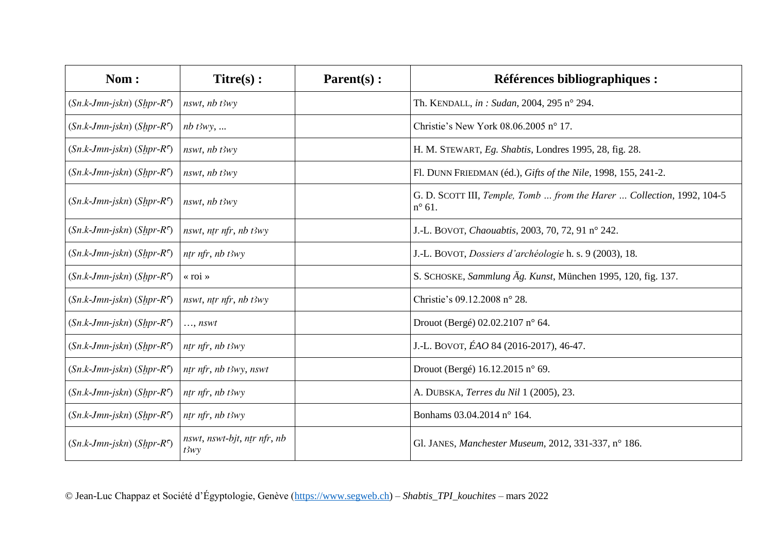| Nom:                        | $Titre(s)$ :                        | Parent(s): | <b>Références bibliographiques :</b>                                                      |
|-----------------------------|-------------------------------------|------------|-------------------------------------------------------------------------------------------|
| $(Sn.k-Jmn-jskn) (Sppr-R5)$ | $nswt$ , $nb$ $t3wy$                |            | Th. KENDALL, in : Sudan, 2004, 295 n° 294.                                                |
| $(Sn.k-Jmn-jskn) (Shpr-R5)$ | $nb$ $t3wy$ ,                       |            | Christie's New York 08.06.2005 n° 17.                                                     |
| $(Sn.k-Jmn-jskn) (Shpr-R5)$ | $nswt$ , $nb$ $t3wy$                |            | H. M. STEWART, Eg. Shabtis, Londres 1995, 28, fig. 28.                                    |
| $(Sn.k-Jmn-jskn) (Sppr-R5)$ | $nswt$ , $nb$ $t3wy$                |            | Fl. DUNN FRIEDMAN (éd.), Gifts of the Nile, 1998, 155, 241-2.                             |
| $(Sn.k-Jmn-jskn) (Shpr-R5)$ | nswt, nb t3wy                       |            | G. D. SCOTT III, Temple, Tomb  from the Harer  Collection, 1992, 104-5<br>$n^{\circ}$ 61. |
| $(Sn.k-Jmn-jskn) (Shpr-R5)$ | nswt, ntr nfr, nb t3wy              |            | J.-L. BOVOT, Chaouabtis, 2003, 70, 72, 91 nº 242.                                         |
| $(Sn.k-Jmn-jskn) (Shpr-R5)$ | $n$ tr nfr, nb t $3wy$              |            | J.-L. BOVOT, Dossiers d'archéologie h. s. 9 (2003), 18.                                   |
| $(Sn.k-Jmn-jskn) (Shpr-R5)$ | « roi »                             |            | S. SCHOSKE, Sammlung Äg. Kunst, München 1995, 120, fig. 137.                              |
| $(Sn.k-Jmn-jskn) (Sppr-R5)$ | nswt, ntr nfr, nb t3wy              |            | Christie's 09.12.2008 n° 28.                                                              |
| $(Sn.k-Jmn-jskn) (Shpr-Ro)$ | $,$ nswt                            |            | Drouot (Bergé) 02.02.2107 n° 64.                                                          |
| $(Sn.k-Jmn-jskn) (Shpr-R5)$ | ntr nfr, nb $t3wy$                  |            | J.-L. BOVOT, ÉAO 84 (2016-2017), 46-47.                                                   |
| $(Sn.k-Jmn-jskn) (Shpr-R5)$ | ntr nfr, nb t3wy, nswt              |            | Drouot (Bergé) 16.12.2015 n° 69.                                                          |
| $(Sn.k-Jmn-jskn) (Shpr-R5)$ | $n$ tr nfr, nb t $3wy$              |            | A. DUBSKA, Terres du Nil 1 (2005), 23.                                                    |
| $(Sn.k-Jmn-jskn) (Sppr-Rc)$ | $n$ tr nfr, nb t $3wy$              |            | Bonhams 03.04.2014 n° 164.                                                                |
| $(Sn.k-Jmn-jskn) (Shpr-R5)$ | nswt, nswt-bjt, ntr nfr, nb<br>t3wy |            | Gl. JANES, Manchester Museum, 2012, 331-337, n° 186.                                      |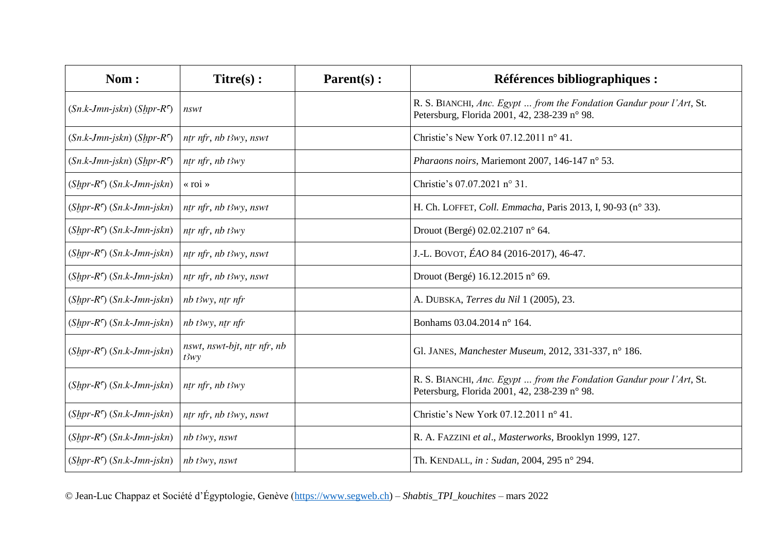| Nom:                                  | $Titre(s)$ :                        | $\textbf{Parent}(s)$ : | <b>Références bibliographiques :</b>                                                                                 |
|---------------------------------------|-------------------------------------|------------------------|----------------------------------------------------------------------------------------------------------------------|
| $(Sn.k-Jmn-jskn) (Shpr-Ro)$           | nswt                                |                        | R. S. BIANCHI, Anc. Egypt  from the Fondation Gandur pour l'Art, St.<br>Petersburg, Florida 2001, 42, 238-239 n° 98. |
| $(Sn.k-Jmn-jskn) (Shpr-R5)$           | ntr nfr, nb t3wy, nswt              |                        | Christie's New York 07.12.2011 n° 41.                                                                                |
| $(Sn.k-Jmn-jskn) (Shpr-Ro)$           | ntr nfr, nb $t3wy$                  |                        | Pharaons noirs, Mariemont 2007, 146-147 n° 53.                                                                       |
| $(Shpr-R†)$ $(Sn.k-Jmn-jskn)$         | « roi »                             |                        | Christie's 07.07.2021 n° 31.                                                                                         |
| $(Shpr-R†)$ $(Sn.k-Jmn-jskn)$         | ntr nfr, nb t3wy, nswt              |                        | H. Ch. LOFFET, Coll. Emmacha, Paris 2013, I, 90-93 (n° 33).                                                          |
| $(Shpr-R^{\prime})$ $(Sn.k-Jmn-jskn)$ | $n$ tr nfr, nb t $3wy$              |                        | Drouot (Bergé) 02.02.2107 n° 64.                                                                                     |
| $(Shpr-R^{\sigma})$ $(Sn.k-Jmn-jskn)$ | ntr nfr, nb t3wy, nswt              |                        | J.-L. BOVOT, ÉAO 84 (2016-2017), 46-47.                                                                              |
| $(Shpr-R†)$ $(Sn.k-Jmn-jskn)$         | ntr nfr, nb t3wy, nswt              |                        | Drouot (Bergé) 16.12.2015 n° 69.                                                                                     |
| $(Shpr-Ro)$ $(Sn.k-Jmn-jskn)$         | $nb$ t3wy, ntr nfr                  |                        | A. DUBSKA, <i>Terres du Nil</i> 1 (2005), 23.                                                                        |
| $(Shpr-R^{\sigma})$ $(Sn.k-Jmn-jskn)$ | nb t3wy, ntr nfr                    |                        | Bonhams 03.04.2014 n° 164.                                                                                           |
| $(Shpr-R\epsilon)$ $(Sn.k-Jmn-jskn)$  | nswt, nswt-bjt, ntr nfr, nb<br>t3wy |                        | Gl. JANES, Manchester Museum, 2012, 331-337, n° 186.                                                                 |
| $(Shpr-R^{\sigma})$ $(Sn.k-Jmn-jskn)$ | ntr nfr, nb t3wy                    |                        | R. S. BIANCHI, Anc. Egypt  from the Fondation Gandur pour l'Art, St.<br>Petersburg, Florida 2001, 42, 238-239 n° 98. |
| $(Shpr-R^{\sigma})$ $(Sn.k-Jmn-jskn)$ | ntr nfr, nb t3wy, nswt              |                        | Christie's New York 07.12.2011 $n^{\circ}$ 41.                                                                       |
| $(Shpr-R^{\prime})$ $(Sn.k-Jmn-jskn)$ | nb t3wy, nswt                       |                        | R. A. FAZZINI et al., Masterworks, Brooklyn 1999, 127.                                                               |
| $(Shpr-R^{\sigma})$ $(Sn.k-Jmn-jskn)$ | $nb$ t3wy, nswt                     |                        | Th. KENDALL, in : Sudan, 2004, 295 n° 294.                                                                           |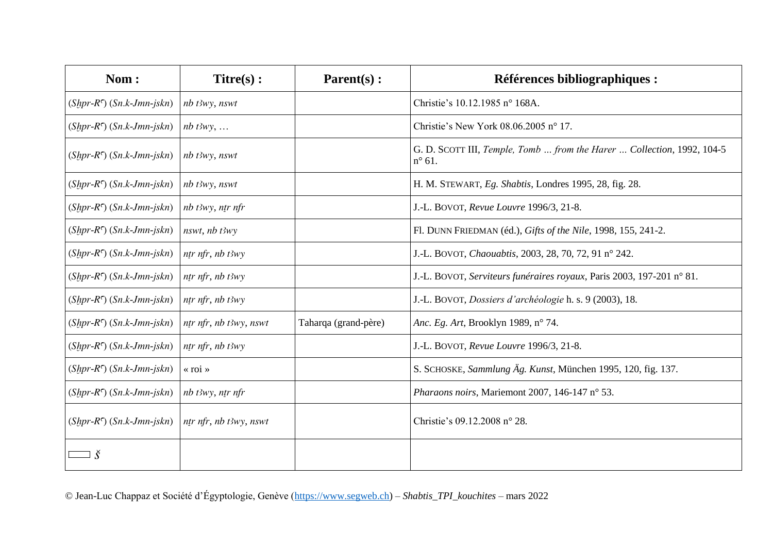| Nom:                                  | $Titre(s)$ :           | $\textbf{Parent}(s)$ : | Références bibliographiques :                                                             |
|---------------------------------------|------------------------|------------------------|-------------------------------------------------------------------------------------------|
| $(Shpr-R^{\sigma})$ $(Sn.k-Jmn-jskn)$ | nb t3wy, nswt          |                        | Christie's 10.12.1985 n° 168A.                                                            |
| $(Shpr-R^{\sigma})$ $(Sn.k-Jmn-jskn)$ | $nb$ t3wy,             |                        | Christie's New York $08.06.2005$ n° 17.                                                   |
| $(Shpr-R^{\sigma})$ $(Sn.k-Jmn-jskn)$ | nb t3wy, nswt          |                        | G. D. SCOTT III, Temple, Tomb  from the Harer  Collection, 1992, 104-5<br>$n^{\circ}$ 61. |
| $(Shpr-R^{\sigma})$ $(Sn.k-Jmn-jskn)$ | nb t3wy, nswt          |                        | H. M. STEWART, Eg. Shabtis, Londres 1995, 28, fig. 28.                                    |
| $(Shpr-R^{\sigma})$ $(Sn.k-Jmn-jskn)$ | $nb$ t3wy, ntr nfr     |                        | J.-L. BOVOT, Revue Louvre 1996/3, 21-8.                                                   |
| $(Shpr-R^{\sigma})$ $(Sn.k-Jmn-jskn)$ | nswt, nb t3wy          |                        | Fl. DUNN FRIEDMAN (éd.), Gifts of the Nile, 1998, 155, 241-2.                             |
| $(Shpr-R^{\sigma})$ $(Sn.k-Jmn-jskn)$ | ntr nfr, nb $t3wy$     |                        | J.-L. BOVOT, Chaouabtis, 2003, 28, 70, 72, 91 nº 242.                                     |
| $(Shpr-R^{\sigma})$ $(Sn.k-Jmn-jskn)$ | ntr nfr, nb $t3wy$     |                        | J.-L. BOVOT, Serviteurs funéraires royaux, Paris 2003, 197-201 n° 81.                     |
| $(Shpr-R^{\prime})$ $(Sn.k-Jmn-jskn)$ | ntr nfr, nb t3wy       |                        | J.-L. BOVOT, Dossiers d'archéologie h. s. 9 (2003), 18.                                   |
| $(Shpr-R^{\sigma})$ $(Sn.k-Jmn-jskn)$ | ntr nfr, nb t3wy, nswt | Taharqa (grand-père)   | <i>Anc. Eg. Art, Brooklyn 1989, n° 74.</i>                                                |
| $(Shpr-R^{\sigma})$ $(Sn.k-Jmn-jskn)$ | $n$ tr nfr, nb t $3wy$ |                        | J.-L. BOVOT, Revue Louvre 1996/3, 21-8.                                                   |
| $(Shpr-R^{\sigma})$ $(Sn.k-Jmn-jskn)$ | « roi »                |                        | S. SCHOSKE, Sammlung Äg. Kunst, München 1995, 120, fig. 137.                              |
| $(Shpr-R^{\sigma})$ $(Sn.k-Jmn-jskn)$ | nb t3wy, ntr nfr       |                        | Pharaons noirs, Mariemont 2007, 146-147 n° 53.                                            |
| $(Shpr-R^{\sigma})$ $(Sn.k-Jmn-jskn)$ | ntr nfr, nb t3wy, nswt |                        | Christie's 09.12.2008 n° 28.                                                              |
|                                       |                        |                        |                                                                                           |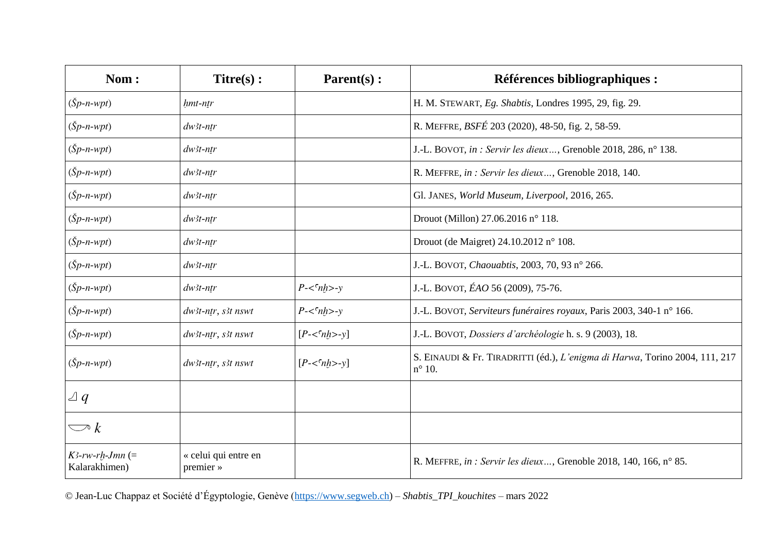| Nom:                                | $Titre(s)$ :                      | Parent(s):                             | <b>Références bibliographiques :</b>                                                           |
|-------------------------------------|-----------------------------------|----------------------------------------|------------------------------------------------------------------------------------------------|
| $(Sp-n-wpt)$                        | hmt-ntr                           |                                        | H. M. STEWART, Eg. Shabtis, Londres 1995, 29, fig. 29.                                         |
| $(Sp-n-wpt)$                        | $dw$ 3t-ntr                       |                                        | R. MEFFRE, BSFÉ 203 (2020), 48-50, fig. 2, 58-59.                                              |
| $(Sp-n-wpt)$                        | $dw$ 3t-ntr                       |                                        | J.-L. BOVOT, in : Servir les dieux, Grenoble 2018, 286, n° 138.                                |
| $(Sp-n-wpt)$                        | $dw$ 3t-ntr                       |                                        | R. MEFFRE, in : Servir les dieux, Grenoble 2018, 140.                                          |
| $(Sp-n-wpt)$                        | $dw$ 3t-ntr                       |                                        | Gl. JANES, World Museum, Liverpool, 2016, 265.                                                 |
| $(Sp-n-wpt)$                        | $dw$ 3t-ntr                       |                                        | Drouot (Millon) 27.06.2016 n° 118.                                                             |
| $(Sp-n-wpt)$                        | $dw$ 3t-ntr                       |                                        | Drouot (de Maigret) 24.10.2012 n° 108.                                                         |
| $(Sp-n-wpt)$                        | $dw$ 3t-ntr                       |                                        | J.-L. BOVOT, Chaouabtis, 2003, 70, 93 n° 266.                                                  |
| $(Sp-n-wpt)$                        | $dw$ 3t-ntr                       | $P - \langle \nabla_n h \rangle - \nu$ | J.-L. BOVOT, ÉAO 56 (2009), 75-76.                                                             |
| $(Sp-n-wpt)$                        | dw3t-ntr, s3t nswt                | $P - \langle \n\rangle$ nh>-y          | J.-L. BOVOT, Serviteurs funéraires royaux, Paris 2003, 340-1 nº 166.                           |
| $(Sp-n-wpt)$                        | dw3t-ntr, s3t nswt                | $[P<\int nh>>y]$                       | J.-L. BOVOT, Dossiers d'archéologie h. s. 9 (2003), 18.                                        |
| $(Sp-n-wpt)$                        | dw3t-ntr, s3t nswt                | $[P<\frac{\epsilon}{nh}>>y]$           | S. EINAUDI & Fr. TIRADRITTI (éd.), L'enigma di Harwa, Torino 2004, 111, 217<br>$n^{\circ}$ 10. |
| $\vartriangle q$                    |                                   |                                        |                                                                                                |
| $\bigcirc k$                        |                                   |                                        |                                                                                                |
| $K3$ -rw-rh-Jmn (=<br>Kalarakhimen) | « celui qui entre en<br>premier » |                                        | R. MEFFRE, in : Servir les dieux, Grenoble 2018, 140, 166, n° 85.                              |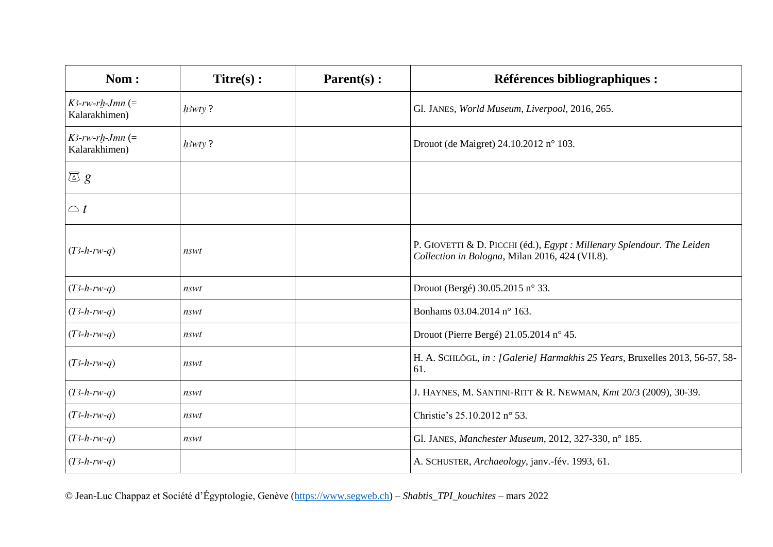| Nom:                                | $Titre(s)$ : | Parent(s): | Références bibliographiques :                                                                                             |
|-------------------------------------|--------------|------------|---------------------------------------------------------------------------------------------------------------------------|
| $K$ 3-rw-rh-Jmn (=<br>Kalarakhimen) | $h3wty$ ?    |            | Gl. JANES, World Museum, Liverpool, 2016, 265.                                                                            |
| $K3$ -rw-rh-Jmn (=<br>Kalarakhimen) | $h3wty$ ?    |            | Drouot (de Maigret) 24.10.2012 n° 103.                                                                                    |
| $\overline{\omega} g$               |              |            |                                                                                                                           |
| $\bigcirc$ t                        |              |            |                                                                                                                           |
| $(T3-h-rw-q)$                       | nswt         |            | P. GIOVETTI & D. PICCHI (éd.), Egypt : Millenary Splendour. The Leiden<br>Collection in Bologna, Milan 2016, 424 (VII.8). |
| $(T3-h-rw-q)$                       | nswt         |            | Drouot (Bergé) 30.05.2015 n° 33.                                                                                          |
| $(T3-h-rw-q)$                       | nswt         |            | Bonhams 03.04.2014 n° 163.                                                                                                |
| $(T3-h-rw-q)$                       | nswt         |            | Drouot (Pierre Bergé) 21.05.2014 n° 45.                                                                                   |
| $(T3-h-rw-q)$                       | nswt         |            | H. A. SCHLÖGL, in: [Galerie] Harmakhis 25 Years, Bruxelles 2013, 56-57, 58-<br>61.                                        |
| $(T3-h-rw-q)$                       | nswt         |            | J. HAYNES, M. SANTINI-RITT & R. NEWMAN, Kmt 20/3 (2009), 30-39.                                                           |
| $(T3-h-rw-q)$                       | nswt         |            | Christie's 25.10.2012 n° 53.                                                                                              |
| $(T3-h-rw-q)$                       | nswt         |            | Gl. JANES, Manchester Museum, 2012, 327-330, n° 185.                                                                      |
| $(T3-h-rw-q)$                       |              |            | A. SCHUSTER, Archaeology, janv.-fév. 1993, 61.                                                                            |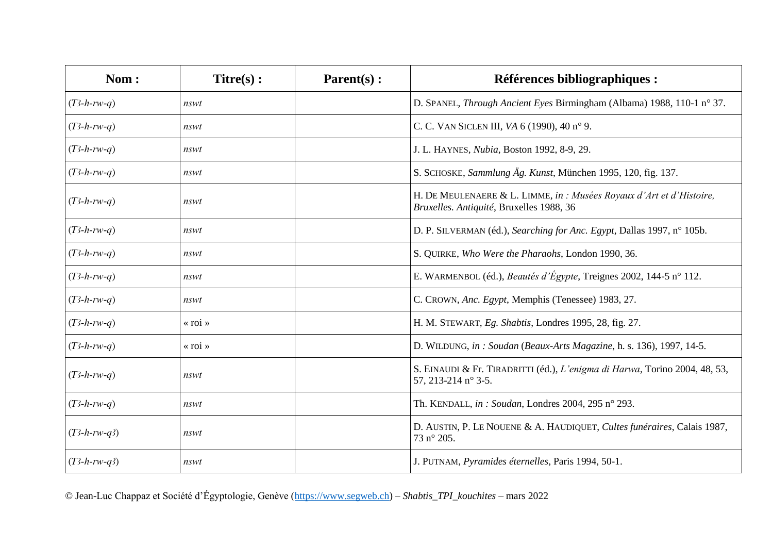| Nom:           | $Titre(s)$ :            | Parent(s): | <b>Références bibliographiques :</b>                                                                             |
|----------------|-------------------------|------------|------------------------------------------------------------------------------------------------------------------|
| $(T3-h-rw-q)$  | nswt                    |            | D. SPANEL, Through Ancient Eyes Birmingham (Albama) 1988, 110-1 n° 37.                                           |
| $(T3-h-rw-q)$  | nswt                    |            | C. C. VAN SICLEN III, VA 6 (1990), 40 n° 9.                                                                      |
| $(T3-h-rw-q)$  | nswt                    |            | J. L. HAYNES, Nubia, Boston 1992, 8-9, 29.                                                                       |
| $(T3-h-rw-q)$  | nswt                    |            | S. SCHOSKE, Sammlung Äg. Kunst, München 1995, 120, fig. 137.                                                     |
| $(T3-h-rw-q)$  | nswt                    |            | H. DE MEULENAERE & L. LIMME, in : Musées Royaux d'Art et d'Histoire,<br>Bruxelles. Antiquité, Bruxelles 1988, 36 |
| $(T3-h-rw-q)$  | nswt                    |            | D. P. SILVERMAN (éd.), Searching for Anc. Egypt, Dallas 1997, n° 105b.                                           |
| $(T3-h-rw-q)$  | nswt                    |            | S. QUIRKE, Who Were the Pharaohs, London 1990, 36.                                                               |
| $(T3-h-rw-q)$  | nswt                    |            | E. WARMENBOL (éd.), Beautés d'Égypte, Treignes 2002, 144-5 n° 112.                                               |
| $(T3-h-rw-q)$  | nswt                    |            | C. CROWN, Anc. Egypt, Memphis (Tenessee) 1983, 27.                                                               |
| $(T3-h-rw-q)$  | $\langle$ roi $\rangle$ |            | H. M. STEWART, Eg. Shabtis, Londres 1995, 28, fig. 27.                                                           |
| $(T3-h-rw-q)$  | « roi »                 |            | D. WILDUNG, in: Soudan (Beaux-Arts Magazine, h. s. 136), 1997, 14-5.                                             |
| $(T3-h-rw-q)$  | nswt                    |            | S. EINAUDI & Fr. TIRADRITTI (éd.), L'enigma di Harwa, Torino 2004, 48, 53,<br>57, 213-214 n° 3-5.                |
| $(T3-h-rw-q)$  | nswt                    |            | Th. KENDALL, in: Soudan, Londres 2004, 295 n° 293.                                                               |
| $(T3-h-rw-q3)$ | nswt                    |            | D. AUSTIN, P. LE NOUENE & A. HAUDIQUET, Cultes funéraires, Calais 1987,<br>73 n° 205.                            |
| $(T3-h-rw-q3)$ | nswt                    |            | J. PUTNAM, Pyramides éternelles, Paris 1994, 50-1.                                                               |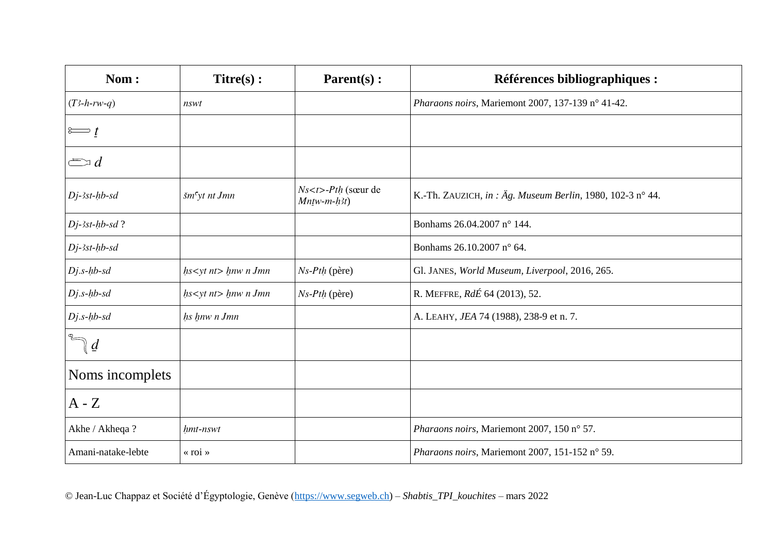| Nom:                    | $Titre(s)$ :              | $\textbf{Parent}(s)$ :                        | Références bibliographiques :                             |
|-------------------------|---------------------------|-----------------------------------------------|-----------------------------------------------------------|
| $(T3-h-rw-q)$           | nswt                      |                                               | Pharaons noirs, Mariemont 2007, 137-139 n° 41-42.         |
| $\approx t$             |                           |                                               |                                                           |
| $\Longleftrightarrow d$ |                           |                                               |                                                           |
| $Dj$ -3st-hb-sd         | šm <sup>c</sup> yt nt Jmn | $Ns < t >-Pth$ (sœur de<br>$Mn$ tw-m- $h$ 3t) | K.-Th. ZAUZICH, in: Äg. Museum Berlin, 1980, 102-3 n° 44. |
| $Di-3st-hb-sd$ ?        |                           |                                               | Bonhams 26.04.2007 n° 144.                                |
| $Dj$ -3st- $hb$ -sd     |                           |                                               | Bonhams 26.10.2007 n° 64.                                 |
| $Dj.s-hb-sd$            | $hs<$ yt nt> $lnw n Jmn$  | $Ns-Pth$ (père)                               | Gl. JANES, World Museum, Liverpool, 2016, 265.            |
| $Dj.s-hb-sd$            | $hs<$ yt nt> $lnw n Jmn$  | $Ns-Pth$ (père)                               | R. MEFFRE, RdÉ 64 (2013), 52.                             |
| $Dj.s-hb-sd$            | hs hnw n Jmn              |                                               | A. LEAHY, JEA 74 (1988), 238-9 et n. 7.                   |
| $\mathcal{Q}$           |                           |                                               |                                                           |
| Noms incomplets         |                           |                                               |                                                           |
| $A - Z$                 |                           |                                               |                                                           |
| Akhe / Akheqa?          | hmt-nswt                  |                                               | Pharaons noirs, Mariemont 2007, 150 n° 57.                |
| Amani-natake-lebte      | « roi »                   |                                               | Pharaons noirs, Mariemont 2007, 151-152 n° 59.            |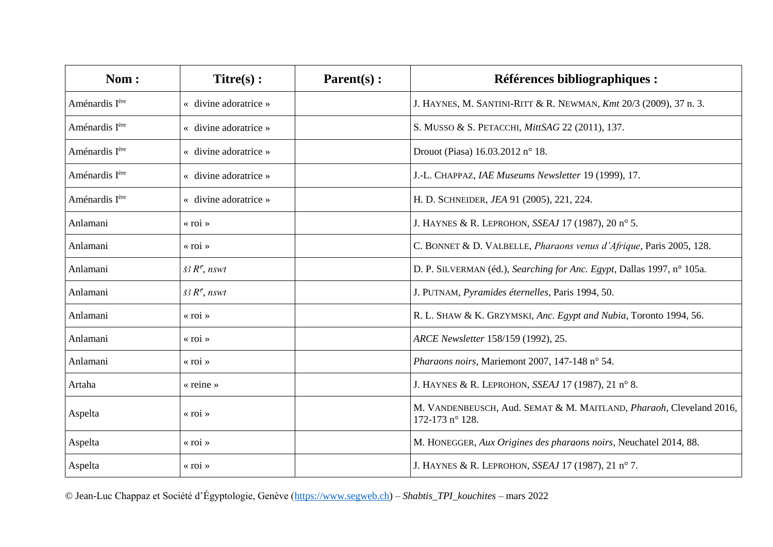| Nom:                       | $Titre(s)$ :                          | $\textbf{Parent}(s)$ : | Références bibliographiques :                                                          |
|----------------------------|---------------------------------------|------------------------|----------------------------------------------------------------------------------------|
| Aménardis I <sup>ère</sup> | « divine adoratrice »                 |                        | J. HAYNES, M. SANTINI-RITT & R. NEWMAN, Kmt 20/3 (2009), 37 n. 3.                      |
| Aménardis I <sup>ère</sup> | « divine adoratrice »                 |                        | S. MUSSO & S. PETACCHI, MittSAG 22 (2011), 137.                                        |
| Aménardis Ière             | « divine adoratrice »                 |                        | Drouot (Piasa) 16.03.2012 n° 18.                                                       |
| Aménardis Ière             | « divine adoratrice »                 |                        | J.-L. CHAPPAZ, IAE Museums Newsletter 19 (1999), 17.                                   |
| Aménardis I <sup>ère</sup> | $\langle$ divine adoratrice $\rangle$ |                        | H. D. SCHNEIDER, JEA 91 (2005), 221, 224.                                              |
| Anlamani                   | $\langle$ roi $\rangle$               |                        | J. HAYNES & R. LEPROHON, SSEAJ 17 (1987), 20 n° 5.                                     |
| Anlamani                   | $\ll$ roi »                           |                        | C. BONNET & D. VALBELLE, Pharaons venus d'Afrique, Paris 2005, 128.                    |
| Anlamani                   | $\check{s}$ <sub>3</sub> $R^c$ , nswt |                        | D. P. SILVERMAN (éd.), Searching for Anc. Egypt, Dallas 1997, n° 105a.                 |
| Anlamani                   | $\check{s}$ <sub>3</sub> $R^c$ , nswt |                        | J. PUTNAM, Pyramides éternelles, Paris 1994, 50.                                       |
| Anlamani                   | « roi »                               |                        | R. L. SHAW & K. GRZYMSKI, Anc. Egypt and Nubia, Toronto 1994, 56.                      |
| Anlamani                   | $\langle$ roi »                       |                        | ARCE Newsletter 158/159 (1992), 25.                                                    |
| Anlamani                   | $\langle$ roi $\rangle$               |                        | Pharaons noirs, Mariemont 2007, 147-148 n° 54.                                         |
| Artaha                     | $\kappa$ reine »                      |                        | J. HAYNES & R. LEPROHON, SSEAJ 17 (1987), 21 n° 8.                                     |
| Aspelta                    | $\langle$ roi $\rangle$               |                        | M. VANDENBEUSCH, Aud. SEMAT & M. MAITLAND, Pharaoh, Cleveland 2016,<br>172-173 n° 128. |
| Aspelta                    | « roi »                               |                        | M. HONEGGER, Aux Origines des pharaons noirs, Neuchatel 2014, 88.                      |
| Aspelta                    | $\langle$ roi $\rangle$               |                        | J. HAYNES & R. LEPROHON, SSEAJ 17 (1987), 21 n° 7.                                     |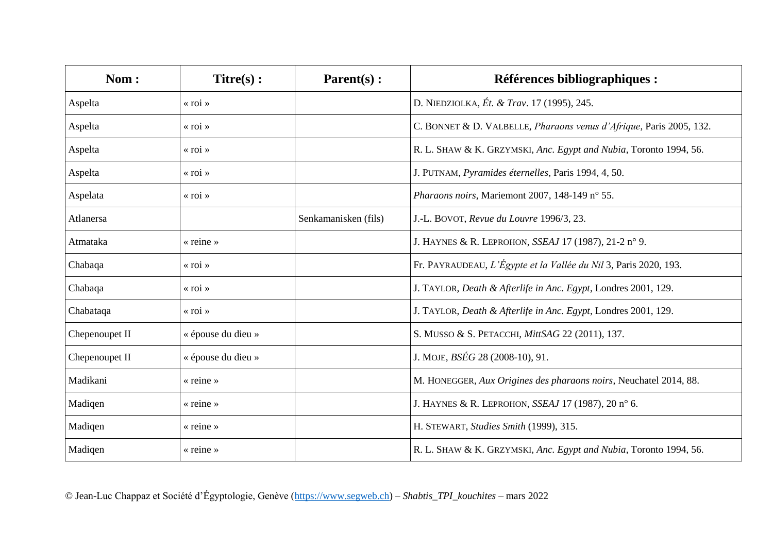| Nom:           | $Titre(s)$ :            | $\textbf{Parent}(s)$ : | Références bibliographiques :                                       |
|----------------|-------------------------|------------------------|---------------------------------------------------------------------|
| Aspelta        | $\langle$ roi $\rangle$ |                        | D. NIEDZIOLKA, Ét. & Trav. 17 (1995), 245.                          |
| Aspelta        | $\langle$ roi $\rangle$ |                        | C. BONNET & D. VALBELLE, Pharaons venus d'Afrique, Paris 2005, 132. |
| Aspelta        | $\langle$ roi $\rangle$ |                        | R. L. SHAW & K. GRZYMSKI, Anc. Egypt and Nubia, Toronto 1994, 56.   |
| Aspelta        | $\langle$ roi $\rangle$ |                        | J. PUTNAM, Pyramides éternelles, Paris 1994, 4, 50.                 |
| Aspelata       | $\langle$ roi $\rangle$ |                        | Pharaons noirs, Mariemont 2007, 148-149 n° 55.                      |
| Atlanersa      |                         | Senkamanisken (fils)   | J.-L. BOVOT, Revue du Louvre 1996/3, 23.                            |
| Atmataka       | « reine »               |                        | J. HAYNES & R. LEPROHON, SSEAJ 17 (1987), 21-2 n° 9.                |
| Chabaqa        | $\langle$ roi $\rangle$ |                        | Fr. PAYRAUDEAU, L'Égypte et la Vallée du Nil 3, Paris 2020, 193.    |
| Chabaqa        | $\langle$ roi $\rangle$ |                        | J. TAYLOR, Death & Afterlife in Anc. Egypt, Londres 2001, 129.      |
| Chabataqa      | $\langle$ roi $\rangle$ |                        | J. TAYLOR, Death & Afterlife in Anc. Egypt, Londres 2001, 129.      |
| Chepenoupet II | « épouse du dieu »      |                        | S. MUSSO & S. PETACCHI, MittSAG 22 (2011), 137.                     |
| Chepenoupet II | « épouse du dieu »      |                        | J. MOJE, <i>BSÉG</i> 28 (2008-10), 91.                              |
| Madikani       | $\kappa$ reine »        |                        | M. HONEGGER, Aux Origines des pharaons noirs, Neuchatel 2014, 88.   |
| Madiqen        | « reine »               |                        | J. HAYNES & R. LEPROHON, SSEAJ 17 (1987), 20 n° 6.                  |
| Madiqen        | « reine »               |                        | H. STEWART, Studies Smith (1999), 315.                              |
| Madiqen        | « reine »               |                        | R. L. SHAW & K. GRZYMSKI, Anc. Egypt and Nubia, Toronto 1994, 56.   |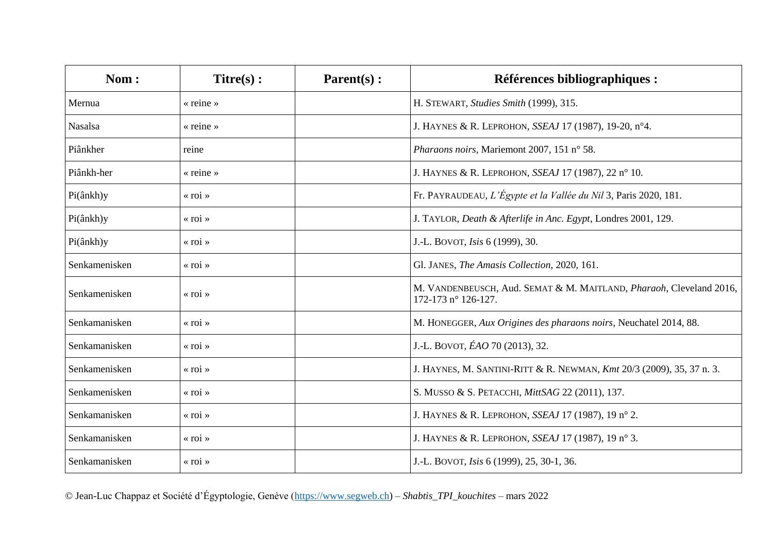| Nom:          | $Titre(s)$ :            | $Parent(s)$ : | Références bibliographiques :                                                              |
|---------------|-------------------------|---------------|--------------------------------------------------------------------------------------------|
| Mernua        | « reine »               |               | H. STEWART, Studies Smith (1999), 315.                                                     |
| Nasalsa       | « reine »               |               | J. HAYNES & R. LEPROHON, SSEAJ 17 (1987), 19-20, n°4.                                      |
| Piânkher      | reine                   |               | Pharaons noirs, Mariemont 2007, 151 n° 58.                                                 |
| Piânkh-her    | « reine »               |               | J. HAYNES & R. LEPROHON, SSEAJ 17 (1987), 22 n° 10.                                        |
| Pi(ânkh)y     | « roi »                 |               | Fr. PAYRAUDEAU, L'Égypte et la Vallée du Nil 3, Paris 2020, 181.                           |
| Pi(ânkh)y     | $\langle$ roi $\rangle$ |               | J. TAYLOR, Death & Afterlife in Anc. Egypt, Londres 2001, 129.                             |
| Pi(ânkh)y     | $\langle$ roi $\rangle$ |               | J.-L. BOVOT, <i>Isis</i> 6 (1999), 30.                                                     |
| Senkamenisken | « roi »                 |               | Gl. JANES, The Amasis Collection, 2020, 161.                                               |
| Senkamenisken | $\langle$ roi $\rangle$ |               | M. VANDENBEUSCH, Aud. SEMAT & M. MAITLAND, Pharaoh, Cleveland 2016,<br>172-173 n° 126-127. |
| Senkamanisken | « roi »                 |               | M. HONEGGER, Aux Origines des pharaons noirs, Neuchatel 2014, 88.                          |
| Senkamanisken | « roi »                 |               | J.-L. BOVOT, ÉAO 70 (2013), 32.                                                            |
| Senkamenisken | « roi »                 |               | J. HAYNES, M. SANTINI-RITT & R. NEWMAN, Kmt 20/3 (2009), 35, 37 n. 3.                      |
| Senkamenisken | « roi »                 |               | S. MUSSO & S. PETACCHI, MittSAG 22 (2011), 137.                                            |
| Senkamanisken | « roi »                 |               | J. HAYNES & R. LEPROHON, SSEAJ 17 (1987), 19 n° 2.                                         |
| Senkamanisken | $\langle$ roi $\rangle$ |               | J. HAYNES & R. LEPROHON, SSEAJ 17 (1987), 19 n° 3.                                         |
| Senkamanisken | « roi »                 |               | J.-L. BOVOT, <i>Isis</i> 6 (1999), 25, 30-1, 36.                                           |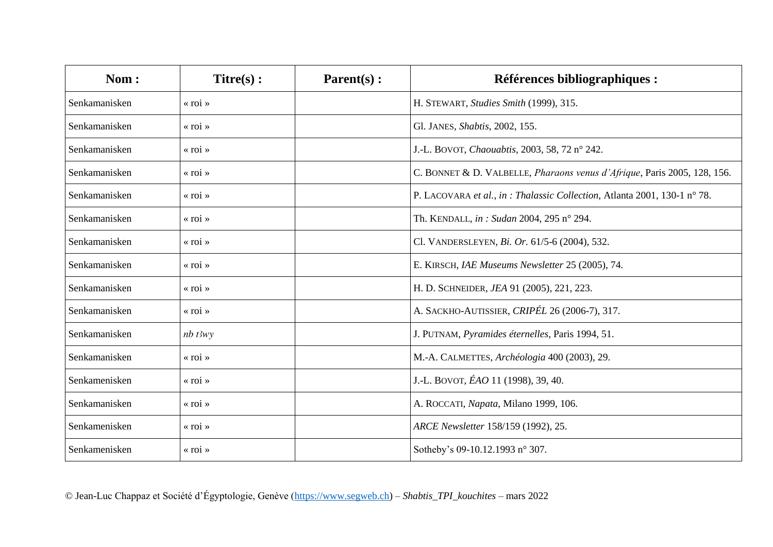| Nom:          | $Titre(s)$ :            | $Parent(s)$ : | Références bibliographiques :                                             |
|---------------|-------------------------|---------------|---------------------------------------------------------------------------|
| Senkamanisken | « roi »                 |               | H. STEWART, Studies Smith (1999), 315.                                    |
| Senkamanisken | $\langle$ roi $\rangle$ |               | Gl. JANES, Shabtis, 2002, 155.                                            |
| Senkamanisken | « roi »                 |               | J.-L. BOVOT, Chaouabtis, 2003, 58, 72 n° 242.                             |
| Senkamanisken | $\langle$ roi $\rangle$ |               | C. BONNET & D. VALBELLE, Pharaons venus d'Afrique, Paris 2005, 128, 156.  |
| Senkamanisken | $\langle$ roi $\rangle$ |               | P. LACOVARA et al., in : Thalassic Collection, Atlanta 2001, 130-1 n° 78. |
| Senkamanisken | $\langle$ roi $\rangle$ |               | Th. KENDALL, in: Sudan 2004, 295 n° 294.                                  |
| Senkamanisken | $\langle$ roi $\rangle$ |               | Cl. VANDERSLEYEN, Bi. Or. 61/5-6 (2004), 532.                             |
| Senkamanisken | « roi »                 |               | E. KIRSCH, IAE Museums Newsletter 25 (2005), 74.                          |
| Senkamanisken | « roi »                 |               | H. D. SCHNEIDER, JEA 91 (2005), 221, 223.                                 |
| Senkamanisken | « roi »                 |               | A. SACKHO-AUTISSIER, CRIPÉL 26 (2006-7), 317.                             |
| Senkamanisken | $nb$ t3wy               |               | J. PUTNAM, Pyramides éternelles, Paris 1994, 51.                          |
| Senkamanisken | « roi »                 |               | M.-A. CALMETTES, Archéologia 400 (2003), 29.                              |
| Senkamenisken | « roi »                 |               | J.-L. BOVOT, ÉAO 11 (1998), 39, 40.                                       |
| Senkamanisken | « roi »                 |               | A. ROCCATI, Napata, Milano 1999, 106.                                     |
| Senkamenisken | « roi »                 |               | ARCE Newsletter 158/159 (1992), 25.                                       |
| Senkamenisken | « roi »                 |               | Sotheby's 09-10.12.1993 n° 307.                                           |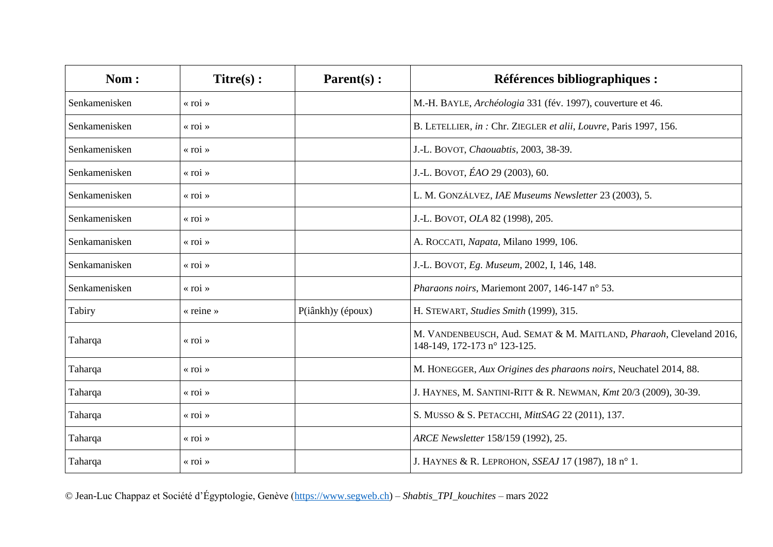| Nom:          | $Titre(s)$ :            | $Parent(s)$ :     | Références bibliographiques :                                                                       |
|---------------|-------------------------|-------------------|-----------------------------------------------------------------------------------------------------|
| Senkamenisken | $\langle$ roi $\rangle$ |                   | M.-H. BAYLE, Archéologia 331 (fév. 1997), couverture et 46.                                         |
| Senkamenisken | $\langle$ roi $\rangle$ |                   | B. LETELLIER, in: Chr. ZIEGLER et alii, Louvre, Paris 1997, 156.                                    |
| Senkamenisken | $\langle$ roi $\rangle$ |                   | J.-L. BOVOT, Chaouabtis, 2003, 38-39.                                                               |
| Senkamenisken | $\langle$ roi $\rangle$ |                   | J.-L. BOVOT, ÉAO 29 (2003), 60.                                                                     |
| Senkamenisken | $\langle$ roi $\rangle$ |                   | L. M. GONZÁLVEZ, IAE Museums Newsletter 23 (2003), 5.                                               |
| Senkamenisken | $\langle$ roi $\rangle$ |                   | J.-L. BOVOT, OLA 82 (1998), 205.                                                                    |
| Senkamanisken | $\langle$ roi $\rangle$ |                   | A. ROCCATI, Napata, Milano 1999, 106.                                                               |
| Senkamanisken | $\langle$ roi $\rangle$ |                   | J.-L. BOVOT, Eg. Museum, 2002, I, 146, 148.                                                         |
| Senkamenisken | $\langle$ roi $\rangle$ |                   | Pharaons noirs, Mariemont 2007, 146-147 n° 53.                                                      |
| Tabiry        | « reine »               | P(iânkh)y (époux) | H. STEWART, Studies Smith (1999), 315.                                                              |
| Taharqa       | $\langle$ roi $\rangle$ |                   | M. VANDENBEUSCH, Aud. SEMAT & M. MAITLAND, Pharaoh, Cleveland 2016,<br>148-149, 172-173 n° 123-125. |
| Taharqa       | $\langle$ roi $\rangle$ |                   | M. HONEGGER, Aux Origines des pharaons noirs, Neuchatel 2014, 88.                                   |
| Taharqa       | « roi »                 |                   | J. HAYNES, M. SANTINI-RITT & R. NEWMAN, Kmt 20/3 (2009), 30-39.                                     |
| Taharqa       | $\langle$ roi $\rangle$ |                   | S. MUSSO & S. PETACCHI, MittSAG 22 (2011), 137.                                                     |
| Taharqa       | $\langle$ roi $\rangle$ |                   | ARCE Newsletter 158/159 (1992), 25.                                                                 |
| Taharqa       | $\langle$ roi $\rangle$ |                   | J. HAYNES & R. LEPROHON, SSEAJ 17 (1987), 18 n° 1.                                                  |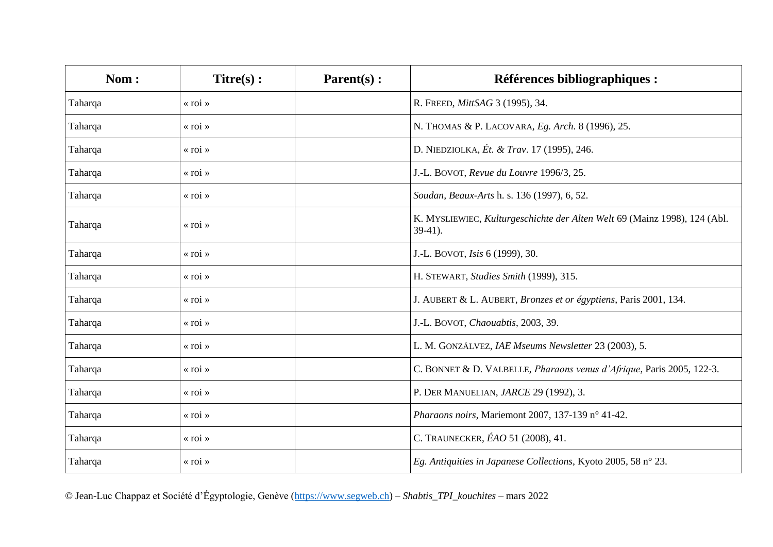| Nom:    | $Titre(s)$ :            | Parent(s): | Références bibliographiques :                                                           |
|---------|-------------------------|------------|-----------------------------------------------------------------------------------------|
| Taharqa | « roi »                 |            | R. FREED, MittSAG 3 (1995), 34.                                                         |
| Taharqa | $\langle$ roi $\rangle$ |            | N. THOMAS & P. LACOVARA, Eg. Arch. 8 (1996), 25.                                        |
| Taharqa | « roi »                 |            | D. NIEDZIOLKA, Ét. & Trav. 17 (1995), 246.                                              |
| Taharqa | $\langle$ roi $\rangle$ |            | J.-L. BOVOT, Revue du Louvre 1996/3, 25.                                                |
| Taharqa | $\langle$ roi $\rangle$ |            | Soudan, Beaux-Arts h. s. 136 (1997), 6, 52.                                             |
| Taharqa | « roi »                 |            | K. MYSLIEWIEC, Kulturgeschichte der Alten Welt 69 (Mainz 1998), 124 (Abl.<br>$39-41$ ). |
| Taharqa | « roi »                 |            | J.-L. BOVOT, Isis 6 (1999), 30.                                                         |
| Taharqa | « roi »                 |            | H. STEWART, Studies Smith (1999), 315.                                                  |
| Taharqa | « roi »                 |            | J. AUBERT & L. AUBERT, Bronzes et or égyptiens, Paris 2001, 134.                        |
| Taharqa | « roi »                 |            | J.-L. BOVOT, Chaouabtis, 2003, 39.                                                      |
| Taharqa | « roi »                 |            | L. M. GONZÁLVEZ, IAE Mseums Newsletter 23 (2003), 5.                                    |
| Taharqa | « roi »                 |            | C. BONNET & D. VALBELLE, Pharaons venus d'Afrique, Paris 2005, 122-3.                   |
| Taharqa | « roi »                 |            | P. DER MANUELIAN, JARCE 29 (1992), 3.                                                   |
| Taharqa | « roi »                 |            | Pharaons noirs, Mariemont 2007, 137-139 n° 41-42.                                       |
| Taharqa | « roi »                 |            | C. TRAUNECKER, ÉAO 51 (2008), 41.                                                       |
| Taharqa | « roi »                 |            | Eg. Antiquities in Japanese Collections, Kyoto 2005, 58 n° 23.                          |